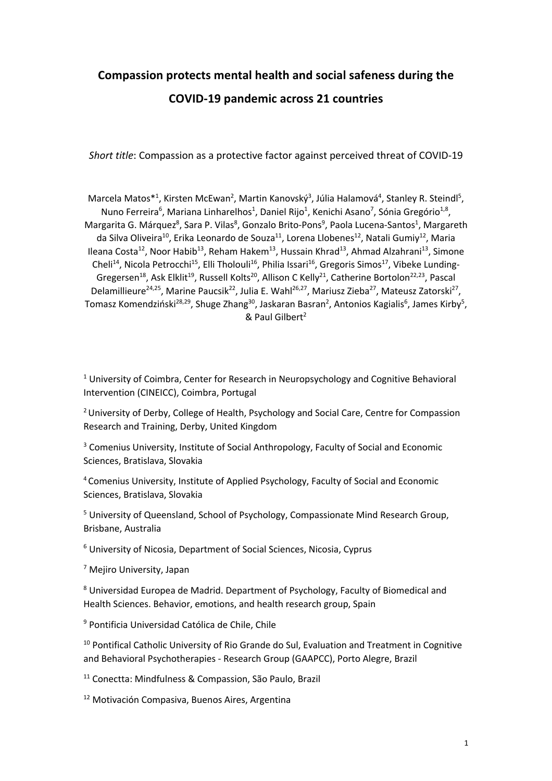# **Compassion protects mental health and social safeness during the COVID-19 pandemic across 21 countries**

*Short title*: Compassion as a protective factor against perceived threat of COVID-19

Marcela Matos\*<sup>1</sup>, Kirsten McEwan<sup>2</sup>, Martin Kanovský<sup>3</sup>, Júlia Halamová<sup>4</sup>, Stanley R. Steindl<sup>5</sup>, Nuno Ferreira<sup>6</sup>, Mariana Linharelhos<sup>1</sup>, Daniel Rijo<sup>1</sup>, Kenichi Asano<sup>7</sup>, Sónia Gregório<sup>1,8</sup>, Margarita G. Márquez<sup>8</sup>, Sara P. Vilas<sup>8</sup>, Gonzalo Brito-Pons<sup>9</sup>, Paola Lucena-Santos<sup>1</sup>, Margareth da Silva Oliveira<sup>10</sup>, Erika Leonardo de Souza<sup>11</sup>, Lorena Llobenes<sup>12</sup>, Natali Gumiy<sup>12</sup>, Maria Ileana Costa<sup>12</sup>, Noor Habib<sup>13</sup>, Reham Hakem<sup>13</sup>, Hussain Khrad<sup>13</sup>, Ahmad Alzahrani<sup>13</sup>, Simone Cheli<sup>14</sup>, Nicola Petrocchi<sup>15</sup>, Elli Tholouli<sup>16</sup>, Philia Issari<sup>16</sup>, Gregoris Simos<sup>17</sup>, Vibeke Lunding-Gregersen<sup>18</sup>, Ask Elklit<sup>19</sup>, Russell Kolts<sup>20</sup>, Allison C Kelly<sup>21</sup>, Catherine Bortolon<sup>22,23</sup>, Pascal Delamillieure<sup>24,25</sup>, Marine Paucsik<sup>22</sup>, Julia E. Wahl<sup>26,27</sup>, Mariusz Zieba<sup>27</sup>, Mateusz Zatorski<sup>27</sup>, Tomasz Komendziński<sup>28,29</sup>, Shuge Zhang<sup>30</sup>, Jaskaran Basran<sup>2</sup>, Antonios Kagialis<sup>6</sup>, James Kirby<sup>5</sup>,  $&$  Paul Gilbert<sup>2</sup>

 $1$  University of Coimbra, Center for Research in Neuropsychology and Cognitive Behavioral Intervention (CINEICC), Coimbra, Portugal

 $2$  University of Derby, College of Health, Psychology and Social Care, Centre for Compassion Research and Training, Derby, United Kingdom

<sup>3</sup> Comenius University, Institute of Social Anthropology, Faculty of Social and Economic Sciences, Bratislava, Slovakia

<sup>4</sup> Comenius University, Institute of Applied Psychology, Faculty of Social and Economic Sciences, Bratislava, Slovakia

<sup>5</sup> University of Queensland, School of Psychology, Compassionate Mind Research Group, Brisbane, Australia

<sup>6</sup> University of Nicosia, Department of Social Sciences, Nicosia, Cyprus

<sup>7</sup> Mejiro University, Japan

<sup>8</sup> Universidad Europea de Madrid. Department of Psychology, Faculty of Biomedical and Health Sciences. Behavior, emotions, and health research group, Spain

<sup>9</sup> Pontificia Universidad Católica de Chile, Chile

 $10$  Pontifical Catholic University of Rio Grande do Sul, Evaluation and Treatment in Cognitive and Behavioral Psychotherapies - Research Group (GAAPCC), Porto Alegre, Brazil

<sup>11</sup> Conectta: Mindfulness & Compassion, São Paulo, Brazil

<sup>12</sup> Motivación Compasiva, Buenos Aires, Argentina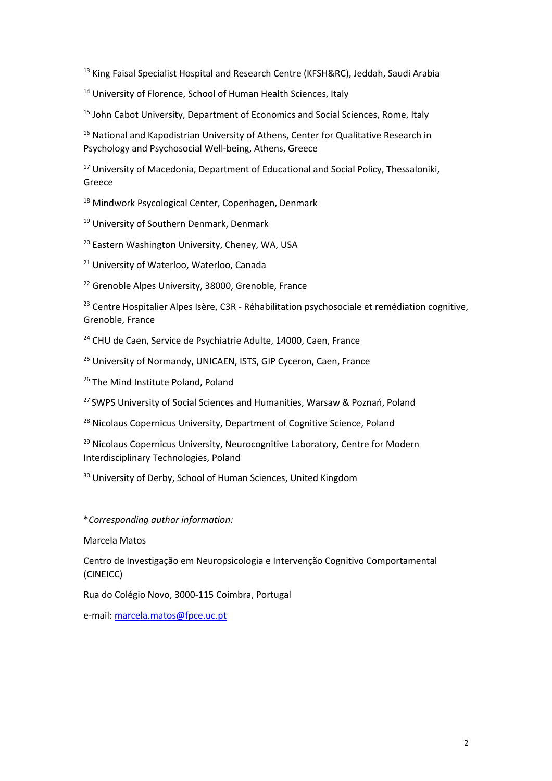<sup>13</sup> King Faisal Specialist Hospital and Research Centre (KFSH&RC), Jeddah, Saudi Arabia

<sup>14</sup> University of Florence, School of Human Health Sciences, Italy

<sup>15</sup> John Cabot University, Department of Economics and Social Sciences, Rome, Italy

<sup>16</sup> National and Kapodistrian University of Athens, Center for Qualitative Research in Psychology and Psychosocial Well-being, Athens, Greece

 $17$  University of Macedonia, Department of Educational and Social Policy, Thessaloniki, Greece

<sup>18</sup> Mindwork Psycological Center, Copenhagen, Denmark

<sup>19</sup> University of Southern Denmark, Denmark

<sup>20</sup> Eastern Washington University, Cheney, WA, USA

<sup>21</sup> University of Waterloo, Waterloo, Canada

<sup>22</sup> Grenoble Alpes University, 38000, Grenoble, France

<sup>23</sup> Centre Hospitalier Alpes Isère, C3R - Réhabilitation psychosociale et remédiation cognitive, Grenoble, France

<sup>24</sup> CHU de Caen, Service de Psychiatrie Adulte, 14000, Caen, France

<sup>25</sup> University of Normandy, UNICAEN, ISTS, GIP Cyceron, Caen, France

<sup>26</sup> The Mind Institute Poland, Poland

<sup>27</sup> SWPS University of Social Sciences and Humanities, Warsaw & Poznań, Poland

<sup>28</sup> Nicolaus Copernicus University, Department of Cognitive Science, Poland

<sup>29</sup> Nicolaus Copernicus University, Neurocognitive Laboratory, Centre for Modern Interdisciplinary Technologies, Poland

<sup>30</sup> University of Derby, School of Human Sciences, United Kingdom

\**Corresponding author information:*

Marcela Matos

Centro de Investigação em Neuropsicologia e Intervenção Cognitivo Comportamental (CINEICC)

Rua do Colégio Novo, 3000-115 Coimbra, Portugal

e-mail: marcela.matos@fpce.uc.pt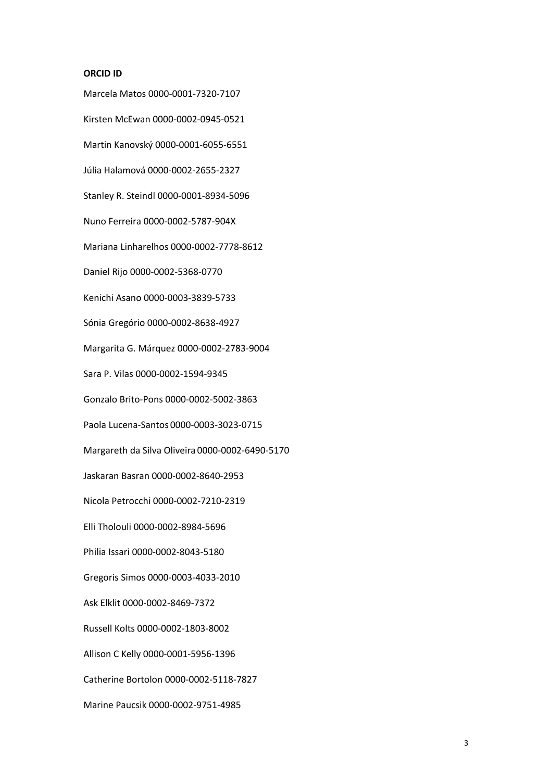#### **ORCID ID**

Marcela Matos 0000-0001-7320-7107 Kirsten McEwan 0000-0002-0945-0521 Martin Kanovský 0000-0001-6055-6551 Júlia Halamová 0000-0002-2655-2327 Stanley R. Steindl 0000-0001-8934-5096 Nuno Ferreira 0000-0002-5787-904X Mariana Linharelhos 0000-0002-7778-8612 Daniel Rijo 0000-0002-5368-0770 Kenichi Asano 0000-0003-3839-5733 Sónia Gregório 0000-0002-8638-4927 Margarita G. Márquez 0000-0002-2783-9004 Sara P. Vilas 0000-0002-1594-9345 Gonzalo Brito-Pons 0000-0002-5002-3863 Paola Lucena-Santos 0000-0003-3023-0715 Margareth da Silva Oliveira 0000-0002-6490-5170 Jaskaran Basran 0000-0002-8640-2953 Nicola Petrocchi 0000-0002-7210-2319 Elli Tholouli 0000-0002-8984-5696 Philia Issari 0000-0002-8043-5180 Gregoris Simos 0000-0003-4033-2010 Ask Elklit 0000-0002-8469-7372 Russell Kolts 0000-0002-1803-8002 Allison C Kelly 0000-0001-5956-1396 Catherine Bortolon 0000-0002-5118-7827 Marine Paucsik 0000-0002-9751-4985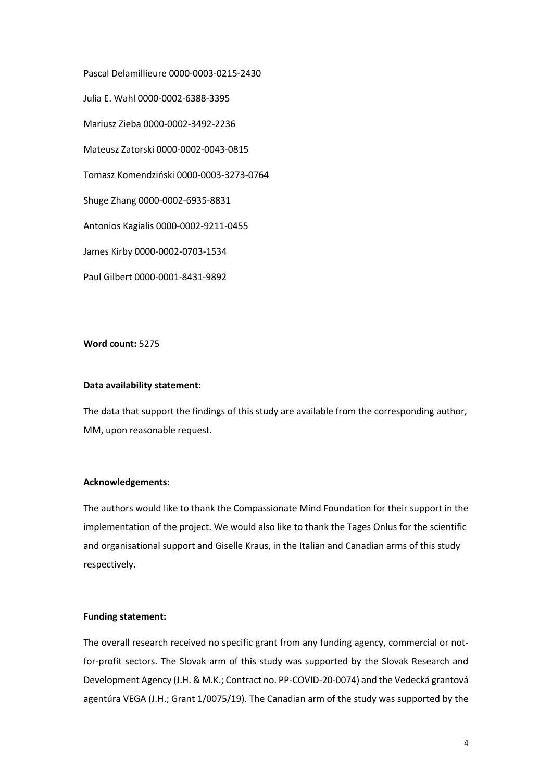Pascal Delamillieure 0000-0003-0215-2430 Julia E. Wahl 0000-0002-6388-3395 Mariusz Zieba 0000-0002-3492-2236 Mateusz Zatorski 0000-0002-0043-0815 Tomasz Komendziński 0000-0003-3273-0764 Shuge Zhang 0000-0002-6935-8831 Antonios Kagialis 0000-0002-9211-0455 James Kirby 0000-0002-0703-1534 Paul Gilbert 0000-0001-8431-9892

#### **Word count:** 5275

#### **Data availability statement:**

The data that support the findings of this study are available from the corresponding author, MM, upon reasonable request.

#### **Acknowledgements:**

The authors would like to thank the Compassionate Mind Foundation for their support in the implementation of the project. We would also like to thank the Tages Onlus for the scientific and organisational support and Giselle Kraus, in the Italian and Canadian arms of this study respectively.

#### **Funding statement:**

The overall research received no specific grant from any funding agency, commercial or notfor-profit sectors. The Slovak arm of this study was supported by the Slovak Research and Development Agency (J.H. & M.K.; Contract no. PP-COVID-20-0074) and the Vedecká grantová agentúra VEGA (J.H.; Grant 1/0075/19). The Canadian arm of the study was supported by the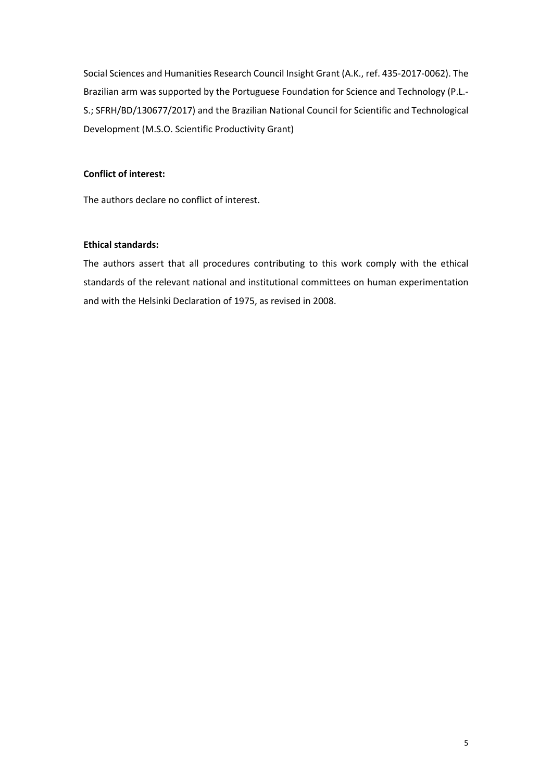Social Sciences and Humanities Research Council Insight Grant (A.K., ref. 435-2017-0062). The Brazilian arm was supported by the Portuguese Foundation for Science and Technology (P.L.- S.; SFRH/BD/130677/2017) and the Brazilian National Council for Scientific and Technological Development (M.S.O. Scientific Productivity Grant)

#### **Conflict of interest:**

The authors declare no conflict of interest.

#### **Ethical standards:**

The authors assert that all procedures contributing to this work comply with the ethical standards of the relevant national and institutional committees on human experimentation and with the Helsinki Declaration of 1975, as revised in 2008.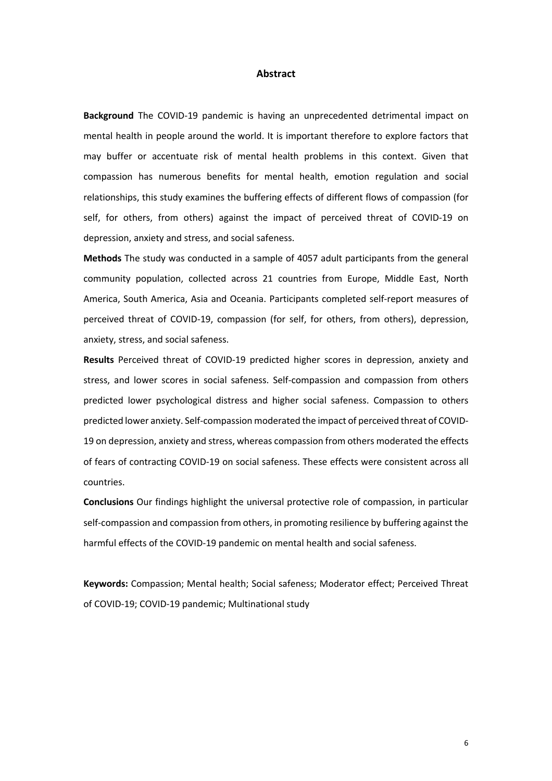#### **Abstract**

**Background** The COVID-19 pandemic is having an unprecedented detrimental impact on mental health in people around the world. It is important therefore to explore factors that may buffer or accentuate risk of mental health problems in this context. Given that compassion has numerous benefits for mental health, emotion regulation and social relationships, this study examines the buffering effects of different flows of compassion (for self, for others, from others) against the impact of perceived threat of COVID-19 on depression, anxiety and stress, and social safeness.

**Methods** The study was conducted in a sample of 4057 adult participants from the general community population, collected across 21 countries from Europe, Middle East, North America, South America, Asia and Oceania. Participants completed self-report measures of perceived threat of COVID-19, compassion (for self, for others, from others), depression, anxiety, stress, and social safeness.

**Results** Perceived threat of COVID-19 predicted higher scores in depression, anxiety and stress, and lower scores in social safeness. Self-compassion and compassion from others predicted lower psychological distress and higher social safeness. Compassion to others predicted lower anxiety. Self-compassion moderated the impact of perceived threat of COVID-19 on depression, anxiety and stress, whereas compassion from others moderated the effects of fears of contracting COVID-19 on social safeness. These effects were consistent across all countries.

**Conclusions** Our findings highlight the universal protective role of compassion, in particular self-compassion and compassion from others, in promoting resilience by buffering against the harmful effects of the COVID-19 pandemic on mental health and social safeness.

**Keywords:** Compassion; Mental health; Social safeness; Moderator effect; Perceived Threat of COVID-19; COVID-19 pandemic; Multinational study

6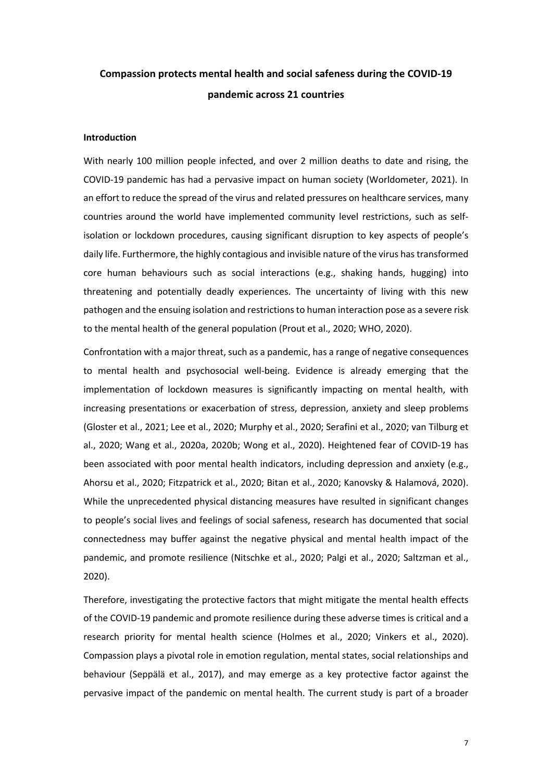## **Compassion protects mental health and social safeness during the COVID-19 pandemic across 21 countries**

#### **Introduction**

With nearly 100 million people infected, and over 2 million deaths to date and rising, the COVID-19 pandemic has had a pervasive impact on human society (Worldometer, 2021). In an effort to reduce the spread of the virus and related pressures on healthcare services, many countries around the world have implemented community level restrictions, such as selfisolation or lockdown procedures, causing significant disruption to key aspects of people's daily life. Furthermore, the highly contagious and invisible nature of the virus has transformed core human behaviours such as social interactions (e.g., shaking hands, hugging) into threatening and potentially deadly experiences. The uncertainty of living with this new pathogen and the ensuing isolation and restrictions to human interaction pose as a severe risk to the mental health of the general population (Prout et al., 2020; WHO, 2020).

Confrontation with a major threat, such as a pandemic, has a range of negative consequences to mental health and psychosocial well-being. Evidence is already emerging that the implementation of lockdown measures is significantly impacting on mental health, with increasing presentations or exacerbation of stress, depression, anxiety and sleep problems (Gloster et al., 2021; Lee et al., 2020; Murphy et al., 2020; Serafini et al., 2020; van Tilburg et al., 2020; Wang et al., 2020a, 2020b; Wong et al., 2020). Heightened fear of COVID-19 has been associated with poor mental health indicators, including depression and anxiety (e.g., Ahorsu et al., 2020; Fitzpatrick et al., 2020; Bitan et al., 2020; Kanovsky & Halamová, 2020). While the unprecedented physical distancing measures have resulted in significant changes to people's social lives and feelings of social safeness, research has documented that social connectedness may buffer against the negative physical and mental health impact of the pandemic, and promote resilience (Nitschke et al., 2020; Palgi et al., 2020; Saltzman et al., 2020).

Therefore, investigating the protective factors that might mitigate the mental health effects of the COVID-19 pandemic and promote resilience during these adverse times is critical and a research priority for mental health science (Holmes et al., 2020; Vinkers et al., 2020). Compassion plays a pivotal role in emotion regulation, mental states, social relationships and behaviour (Seppälä et al., 2017), and may emerge as a key protective factor against the pervasive impact of the pandemic on mental health. The current study is part of a broader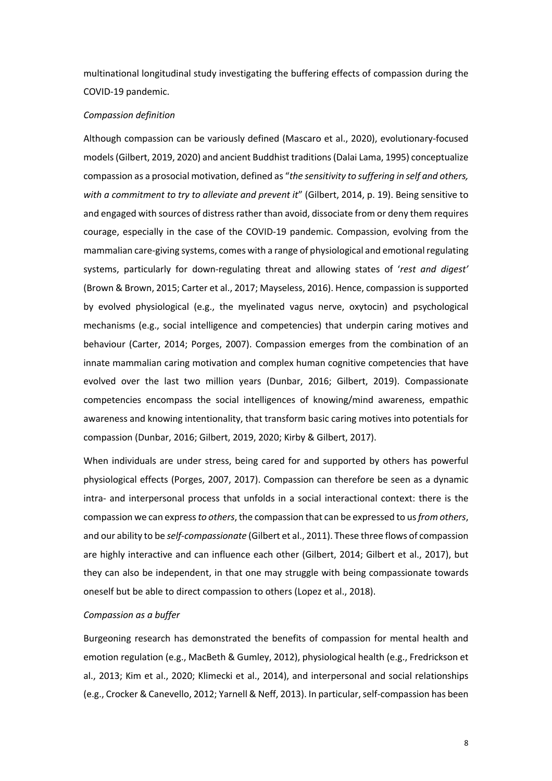multinational longitudinal study investigating the buffering effects of compassion during the COVID-19 pandemic.

#### *Compassion definition*

Although compassion can be variously defined (Mascaro et al., 2020), evolutionary-focused models (Gilbert, 2019, 2020) and ancient Buddhist traditions (Dalai Lama, 1995) conceptualize compassion as a prosocial motivation, defined as "*the sensitivity to suffering in self and others, with a commitment to try to alleviate and prevent it*" (Gilbert, 2014, p. 19). Being sensitive to and engaged with sources of distress rather than avoid, dissociate from or deny them requires courage, especially in the case of the COVID-19 pandemic. Compassion, evolving from the mammalian care-giving systems, comes with a range of physiological and emotional regulating systems, particularly for down-regulating threat and allowing states of '*rest and digest'* (Brown & Brown, 2015; Carter et al., 2017; Mayseless, 2016). Hence, compassion is supported by evolved physiological (e.g., the myelinated vagus nerve, oxytocin) and psychological mechanisms (e.g., social intelligence and competencies) that underpin caring motives and behaviour (Carter, 2014; Porges, 2007). Compassion emerges from the combination of an innate mammalian caring motivation and complex human cognitive competencies that have evolved over the last two million years (Dunbar, 2016; Gilbert, 2019). Compassionate competencies encompass the social intelligences of knowing/mind awareness, empathic awareness and knowing intentionality, that transform basic caring motives into potentials for compassion (Dunbar, 2016; Gilbert, 2019, 2020; Kirby & Gilbert, 2017).

When individuals are under stress, being cared for and supported by others has powerful physiological effects (Porges, 2007, 2017). Compassion can therefore be seen as a dynamic intra- and interpersonal process that unfolds in a social interactional context: there is the compassion we can express *to others*, the compassion that can be expressed to us *from others*, and our ability to be *self-compassionate* (Gilbert et al., 2011). These three flows of compassion are highly interactive and can influence each other (Gilbert, 2014; Gilbert et al., 2017), but they can also be independent, in that one may struggle with being compassionate towards oneself but be able to direct compassion to others (Lopez et al., 2018).

#### *Compassion as a buffer*

Burgeoning research has demonstrated the benefits of compassion for mental health and emotion regulation (e.g., MacBeth & Gumley, 2012), physiological health (e.g., Fredrickson et al., 2013; Kim et al., 2020; Klimecki et al., 2014), and interpersonal and social relationships (e.g., Crocker & Canevello, 2012; Yarnell & Neff, 2013). In particular, self-compassion has been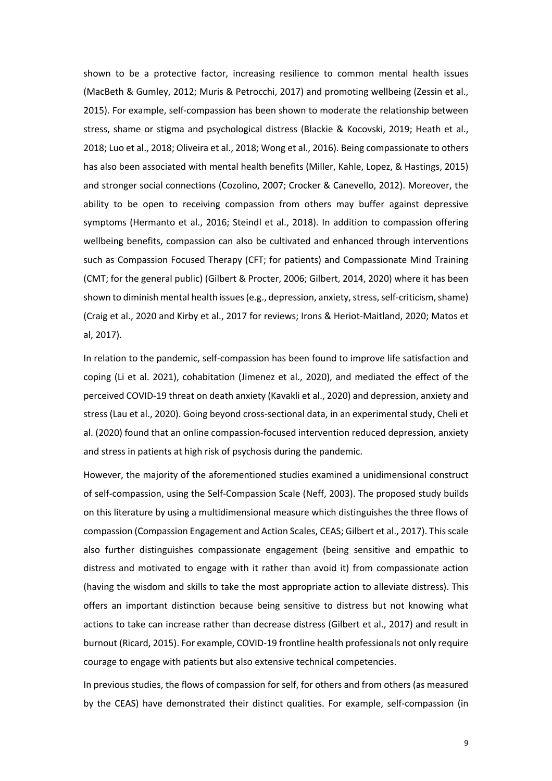shown to be a protective factor, increasing resilience to common mental health issues (MacBeth & Gumley, 2012; Muris & Petrocchi, 2017) and promoting wellbeing (Zessin et al., 2015). For example, self-compassion has been shown to moderate the relationship between stress, shame or stigma and psychological distress (Blackie & Kocovski, 2019; Heath et al., 2018; Luo et al., 2018; Oliveira et al., 2018; Wong et al., 2016). Being compassionate to others has also been associated with mental health benefits (Miller, Kahle, Lopez, & Hastings, 2015) and stronger social connections (Cozolino, 2007; Crocker & Canevello, 2012). Moreover, the ability to be open to receiving compassion from others may buffer against depressive symptoms (Hermanto et al., 2016; Steindl et al., 2018). In addition to compassion offering wellbeing benefits, compassion can also be cultivated and enhanced through interventions such as Compassion Focused Therapy (CFT; for patients) and Compassionate Mind Training (CMT; for the general public) (Gilbert & Procter, 2006; Gilbert, 2014, 2020) where it has been shown to diminish mental health issues(e.g., depression, anxiety, stress, self-criticism, shame) (Craig et al., 2020 and Kirby et al., 2017 for reviews; Irons & Heriot-Maitland, 2020; Matos et al, 2017).

In relation to the pandemic, self-compassion has been found to improve life satisfaction and coping (Li et al. 2021), cohabitation (Jimenez et al., 2020), and mediated the effect of the perceived COVID-19 threat on death anxiety (Kavakli et al., 2020) and depression, anxiety and stress (Lau et al., 2020). Going beyond cross-sectional data, in an experimental study, Cheli et al. (2020) found that an online compassion-focused intervention reduced depression, anxiety and stress in patients at high risk of psychosis during the pandemic.

However, the majority of the aforementioned studies examined a unidimensional construct of self-compassion, using the Self-Compassion Scale (Neff, 2003). The proposed study builds on this literature by using a multidimensional measure which distinguishes the three flows of compassion (Compassion Engagement and Action Scales, CEAS; Gilbert et al., 2017). This scale also further distinguishes compassionate engagement (being sensitive and empathic to distress and motivated to engage with it rather than avoid it) from compassionate action (having the wisdom and skills to take the most appropriate action to alleviate distress). This offers an important distinction because being sensitive to distress but not knowing what actions to take can increase rather than decrease distress (Gilbert et al., 2017) and result in burnout (Ricard, 2015). For example, COVID-19 frontline health professionals not only require courage to engage with patients but also extensive technical competencies.

In previous studies, the flows of compassion for self, for others and from others (as measured by the CEAS) have demonstrated their distinct qualities. For example, self-compassion (in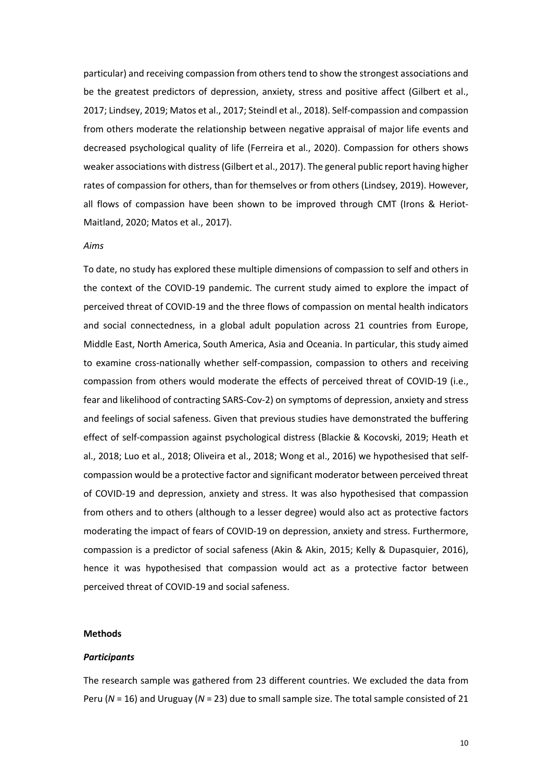particular) and receiving compassion from others tend to show the strongest associations and be the greatest predictors of depression, anxiety, stress and positive affect (Gilbert et al., 2017; Lindsey, 2019; Matos et al., 2017; Steindl et al., 2018). Self-compassion and compassion from others moderate the relationship between negative appraisal of major life events and decreased psychological quality of life (Ferreira et al., 2020). Compassion for others shows weaker associations with distress (Gilbert et al., 2017). The general public report having higher rates of compassion for others, than for themselves or from others (Lindsey, 2019). However, all flows of compassion have been shown to be improved through CMT (Irons & Heriot-Maitland, 2020; Matos et al., 2017).

#### *Aims*

To date, no study has explored these multiple dimensions of compassion to self and others in the context of the COVID-19 pandemic. The current study aimed to explore the impact of perceived threat of COVID-19 and the three flows of compassion on mental health indicators and social connectedness, in a global adult population across 21 countries from Europe, Middle East, North America, South America, Asia and Oceania. In particular, this study aimed to examine cross-nationally whether self-compassion, compassion to others and receiving compassion from others would moderate the effects of perceived threat of COVID-19 (i.e., fear and likelihood of contracting SARS-Cov-2) on symptoms of depression, anxiety and stress and feelings of social safeness. Given that previous studies have demonstrated the buffering effect of self-compassion against psychological distress (Blackie & Kocovski, 2019; Heath et al., 2018; Luo et al., 2018; Oliveira et al., 2018; Wong et al., 2016) we hypothesised that selfcompassion would be a protective factor and significant moderator between perceived threat of COVID-19 and depression, anxiety and stress. It was also hypothesised that compassion from others and to others (although to a lesser degree) would also act as protective factors moderating the impact of fears of COVID-19 on depression, anxiety and stress. Furthermore, compassion is a predictor of social safeness (Akin & Akin, 2015; Kelly & Dupasquier, 2016), hence it was hypothesised that compassion would act as a protective factor between perceived threat of COVID-19 and social safeness.

#### **Methods**

#### *Participants*

The research sample was gathered from 23 different countries. We excluded the data from Peru (*N* = 16) and Uruguay (*N* = 23) due to small sample size. The total sample consisted of 21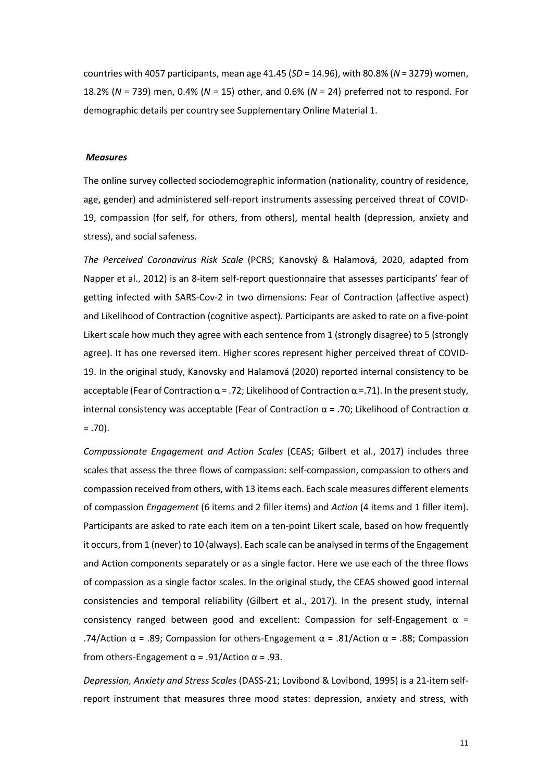countries with 4057 participants, mean age 41.45 (*SD* = 14.96), with 80.8% (*N* = 3279) women, 18.2% (*N* = 739) men, 0.4% (*N* = 15) other, and 0.6% (*N* = 24) preferred not to respond. For demographic details per country see Supplementary Online Material 1.

#### *Measures*

The online survey collected sociodemographic information (nationality, country of residence, age, gender) and administered self-report instruments assessing perceived threat of COVID-19, compassion (for self, for others, from others), mental health (depression, anxiety and stress), and social safeness.

*The Perceived Coronavirus Risk Scale* (PCRS; Kanovský & Halamová, 2020, adapted from Napper et al., 2012) is an 8-item self-report questionnaire that assesses participants' fear of getting infected with SARS-Cov-2 in two dimensions: Fear of Contraction (affective aspect) and Likelihood of Contraction (cognitive aspect). Participants are asked to rate on a five-point Likert scale how much they agree with each sentence from 1 (strongly disagree) to 5 (strongly agree). It has one reversed item. Higher scores represent higher perceived threat of COVID-19. In the original study, Kanovsky and Halamová (2020) reported internal consistency to be acceptable (Fear of Contraction  $\alpha$  = .72; Likelihood of Contraction  $\alpha$  = .71). In the present study, internal consistency was acceptable (Fear of Contraction  $\alpha$  = .70; Likelihood of Contraction  $\alpha$  $= .70$ ).

*Compassionate Engagement and Action Scales* (CEAS; Gilbert et al., 2017) includes three scales that assess the three flows of compassion: self-compassion, compassion to others and compassion received from others, with 13 items each. Each scale measures different elements of compassion *Engagement* (6 items and 2 filler items) and *Action* (4 items and 1 filler item). Participants are asked to rate each item on a ten-point Likert scale, based on how frequently it occurs, from 1 (never) to 10 (always). Each scale can be analysed in terms of the Engagement and Action components separately or as a single factor. Here we use each of the three flows of compassion as a single factor scales. In the original study, the CEAS showed good internal consistencies and temporal reliability (Gilbert et al., 2017). In the present study, internal consistency ranged between good and excellent: Compassion for self-Engagement  $\alpha$  = .74/Action  $\alpha$  = .89; Compassion for others-Engagement  $\alpha$  = .81/Action  $\alpha$  = .88; Compassion from others-Engagement  $\alpha$  = .91/Action  $\alpha$  = .93.

*Depression, Anxiety and Stress Scales* (DASS-21; Lovibond & Lovibond, 1995) is a 21-item selfreport instrument that measures three mood states: depression, anxiety and stress, with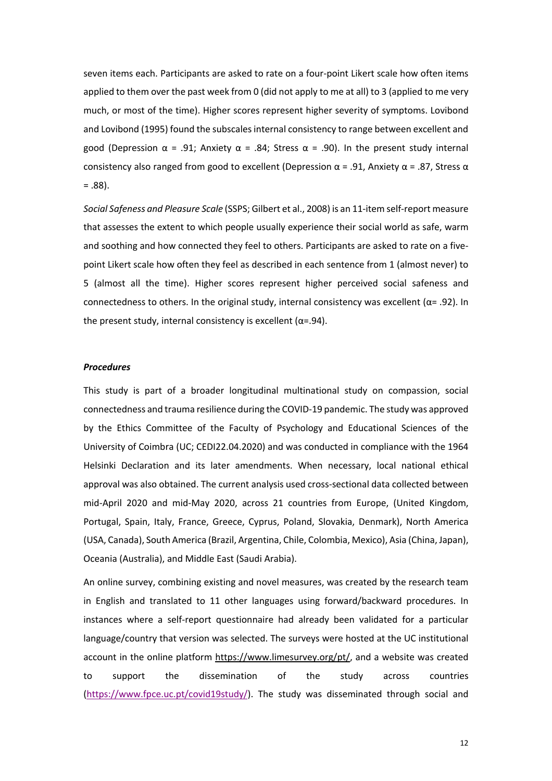seven items each. Participants are asked to rate on a four-point Likert scale how often items applied to them over the past week from 0 (did not apply to me at all) to 3 (applied to me very much, or most of the time). Higher scores represent higher severity of symptoms. Lovibond and Lovibond (1995) found the subscales internal consistency to range between excellent and good (Depression  $\alpha$  = .91; Anxiety  $\alpha$  = .84; Stress  $\alpha$  = .90). In the present study internal consistency also ranged from good to excellent (Depression  $\alpha$  = .91, Anxiety  $\alpha$  = .87, Stress  $\alpha$  $= .88$ ).

*Social Safeness and Pleasure Scale* (SSPS; Gilbert et al., 2008) is an 11-item self-report measure that assesses the extent to which people usually experience their social world as safe, warm and soothing and how connected they feel to others. Participants are asked to rate on a fivepoint Likert scale how often they feel as described in each sentence from 1 (almost never) to 5 (almost all the time). Higher scores represent higher perceived social safeness and connectedness to others. In the original study, internal consistency was excellent ( $\alpha$ = .92). In the present study, internal consistency is excellent ( $\alpha$ =.94).

#### *Procedures*

This study is part of a broader longitudinal multinational study on compassion, social connectedness and trauma resilience during the COVID-19 pandemic. The study was approved by the Ethics Committee of the Faculty of Psychology and Educational Sciences of the University of Coimbra (UC; CEDI22.04.2020) and was conducted in compliance with the 1964 Helsinki Declaration and its later amendments. When necessary, local national ethical approval was also obtained. The current analysis used cross-sectional data collected between mid-April 2020 and mid-May 2020, across 21 countries from Europe, (United Kingdom, Portugal, Spain, Italy, France, Greece, Cyprus, Poland, Slovakia, Denmark), North America (USA, Canada), South America (Brazil, Argentina, Chile, Colombia, Mexico), Asia (China, Japan), Oceania (Australia), and Middle East (Saudi Arabia).

An online survey, combining existing and novel measures, was created by the research team in English and translated to 11 other languages using forward/backward procedures. In instances where a self-report questionnaire had already been validated for a particular language/country that version was selected. The surveys were hosted at the UC institutional account in the online platform https://www.limesurvey.org/pt/, and a website was created to support the dissemination of the study across countries (https://www.fpce.uc.pt/covid19study/). The study was disseminated through social and

12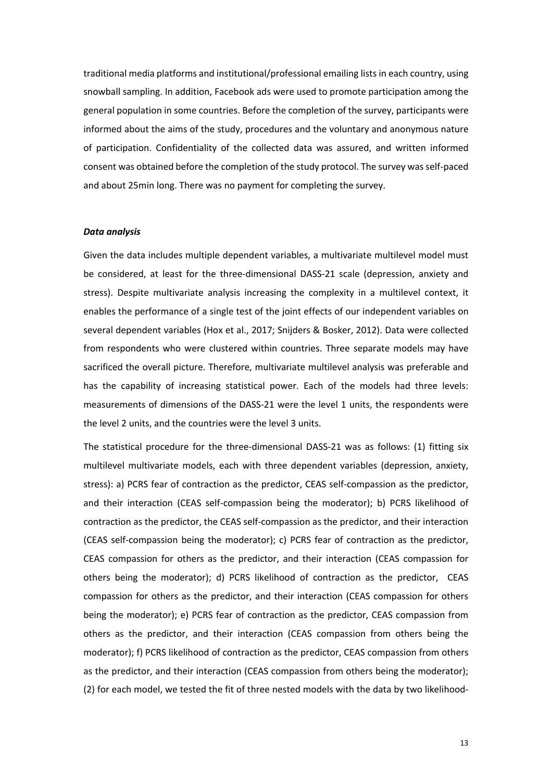traditional media platforms and institutional/professional emailing lists in each country, using snowball sampling. In addition, Facebook ads were used to promote participation among the general population in some countries. Before the completion of the survey, participants were informed about the aims of the study, procedures and the voluntary and anonymous nature of participation. Confidentiality of the collected data was assured, and written informed consent was obtained before the completion of the study protocol. The survey was self-paced and about 25min long. There was no payment for completing the survey.

#### *Data analysis*

Given the data includes multiple dependent variables, a multivariate multilevel model must be considered, at least for the three-dimensional DASS-21 scale (depression, anxiety and stress). Despite multivariate analysis increasing the complexity in a multilevel context, it enables the performance of a single test of the joint effects of our independent variables on several dependent variables (Hox et al., 2017; Snijders & Bosker, 2012). Data were collected from respondents who were clustered within countries. Three separate models may have sacrificed the overall picture. Therefore, multivariate multilevel analysis was preferable and has the capability of increasing statistical power. Each of the models had three levels: measurements of dimensions of the DASS-21 were the level 1 units, the respondents were the level 2 units, and the countries were the level 3 units.

The statistical procedure for the three-dimensional DASS-21 was as follows: (1) fitting six multilevel multivariate models, each with three dependent variables (depression, anxiety, stress): a) PCRS fear of contraction as the predictor, CEAS self-compassion as the predictor, and their interaction (CEAS self-compassion being the moderator); b) PCRS likelihood of contraction as the predictor, the CEAS self-compassion as the predictor, and their interaction (CEAS self-compassion being the moderator); c) PCRS fear of contraction as the predictor, CEAS compassion for others as the predictor, and their interaction (CEAS compassion for others being the moderator); d) PCRS likelihood of contraction as the predictor, CEAS compassion for others as the predictor, and their interaction (CEAS compassion for others being the moderator); e) PCRS fear of contraction as the predictor, CEAS compassion from others as the predictor, and their interaction (CEAS compassion from others being the moderator); f) PCRS likelihood of contraction as the predictor, CEAS compassion from others as the predictor, and their interaction (CEAS compassion from others being the moderator); (2) for each model, we tested the fit of three nested models with the data by two likelihood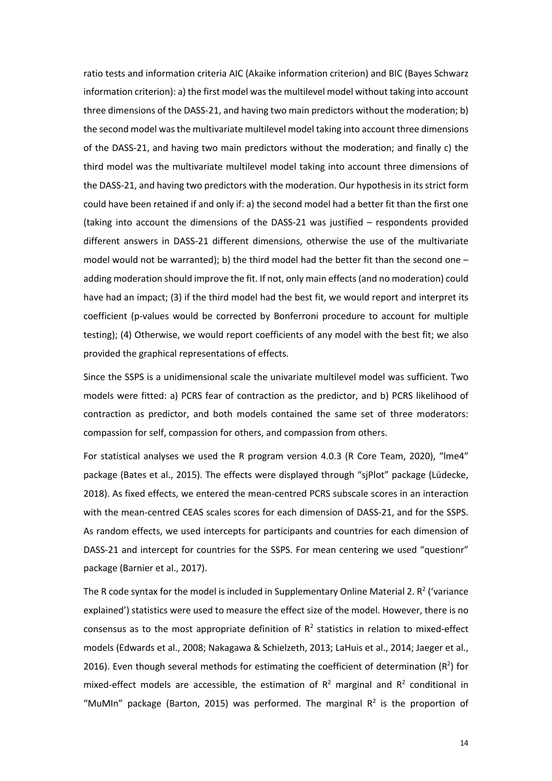ratio tests and information criteria AIC (Akaike information criterion) and BIC (Bayes Schwarz information criterion): a) the first model was the multilevel model without taking into account three dimensions of the DASS-21, and having two main predictors without the moderation; b) the second model was the multivariate multilevel model taking into account three dimensions of the DASS-21, and having two main predictors without the moderation; and finally c) the third model was the multivariate multilevel model taking into account three dimensions of the DASS-21, and having two predictors with the moderation. Our hypothesis in its strict form could have been retained if and only if: a) the second model had a better fit than the first one (taking into account the dimensions of the DASS-21 was justified – respondents provided different answers in DASS-21 different dimensions, otherwise the use of the multivariate model would not be warranted); b) the third model had the better fit than the second one – adding moderation should improve the fit. If not, only main effects (and no moderation) could have had an impact; (3) if the third model had the best fit, we would report and interpret its coefficient (p-values would be corrected by Bonferroni procedure to account for multiple testing); (4) Otherwise, we would report coefficients of any model with the best fit; we also provided the graphical representations of effects.

Since the SSPS is a unidimensional scale the univariate multilevel model was sufficient. Two models were fitted: a) PCRS fear of contraction as the predictor, and b) PCRS likelihood of contraction as predictor, and both models contained the same set of three moderators: compassion for self, compassion for others, and compassion from others.

For statistical analyses we used the R program version 4.0.3 (R Core Team, 2020), "lme4" package (Bates et al., 2015). The effects were displayed through "sjPlot" package (Lüdecke, 2018). As fixed effects, we entered the mean-centred PCRS subscale scores in an interaction with the mean-centred CEAS scales scores for each dimension of DASS-21, and for the SSPS. As random effects, we used intercepts for participants and countries for each dimension of DASS-21 and intercept for countries for the SSPS. For mean centering we used "questionr" package (Barnier et al., 2017).

The R code syntax for the model is included in Supplementary Online Material 2.  $R^2$  ('variance explained') statistics were used to measure the effect size of the model. However, there is no consensus as to the most appropriate definition of  $R^2$  statistics in relation to mixed-effect models (Edwards et al., 2008; Nakagawa & Schielzeth, 2013; LaHuis et al., 2014; Jaeger et al., 2016). Even though several methods for estimating the coefficient of determination ( $R^2$ ) for mixed-effect models are accessible, the estimation of  $R^2$  marginal and  $R^2$  conditional in "MuMIn" package (Barton, 2015) was performed. The marginal  $R^2$  is the proportion of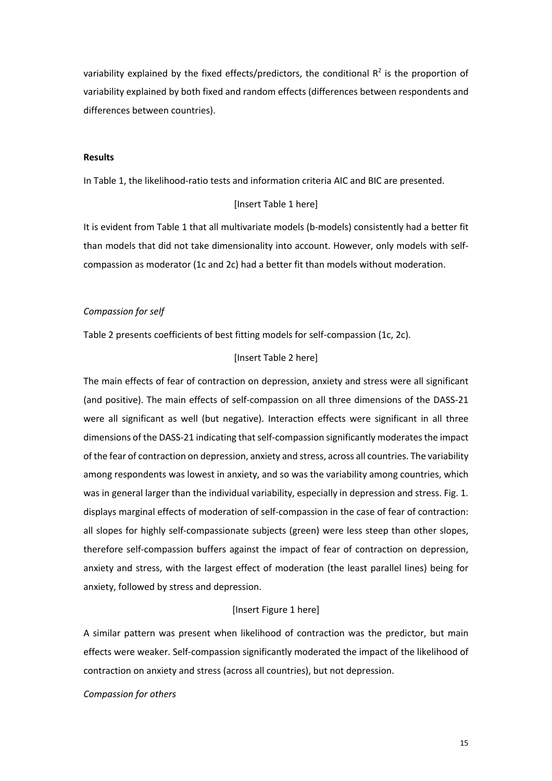variability explained by the fixed effects/predictors, the conditional  $R^2$  is the proportion of variability explained by both fixed and random effects (differences between respondents and differences between countries).

#### **Results**

In Table 1, the likelihood-ratio tests and information criteria AIC and BIC are presented.

#### [Insert Table 1 here]

It is evident from Table 1 that all multivariate models (b-models) consistently had a better fit than models that did not take dimensionality into account. However, only models with selfcompassion as moderator (1c and 2c) had a better fit than models without moderation.

#### *Compassion for self*

Table 2 presents coefficients of best fitting models for self-compassion (1c, 2c).

#### [Insert Table 2 here]

The main effects of fear of contraction on depression, anxiety and stress were all significant (and positive). The main effects of self-compassion on all three dimensions of the DASS-21 were all significant as well (but negative). Interaction effects were significant in all three dimensions of the DASS-21 indicating that self-compassion significantly moderatesthe impact of the fear of contraction on depression, anxiety and stress, across all countries. The variability among respondents was lowest in anxiety, and so was the variability among countries, which was in general larger than the individual variability, especially in depression and stress. Fig. 1. displays marginal effects of moderation of self-compassion in the case of fear of contraction: all slopes for highly self-compassionate subjects (green) were less steep than other slopes, therefore self-compassion buffers against the impact of fear of contraction on depression, anxiety and stress, with the largest effect of moderation (the least parallel lines) being for anxiety, followed by stress and depression.

#### [Insert Figure 1 here]

A similar pattern was present when likelihood of contraction was the predictor, but main effects were weaker. Self-compassion significantly moderated the impact of the likelihood of contraction on anxiety and stress (across all countries), but not depression.

#### *Compassion for others*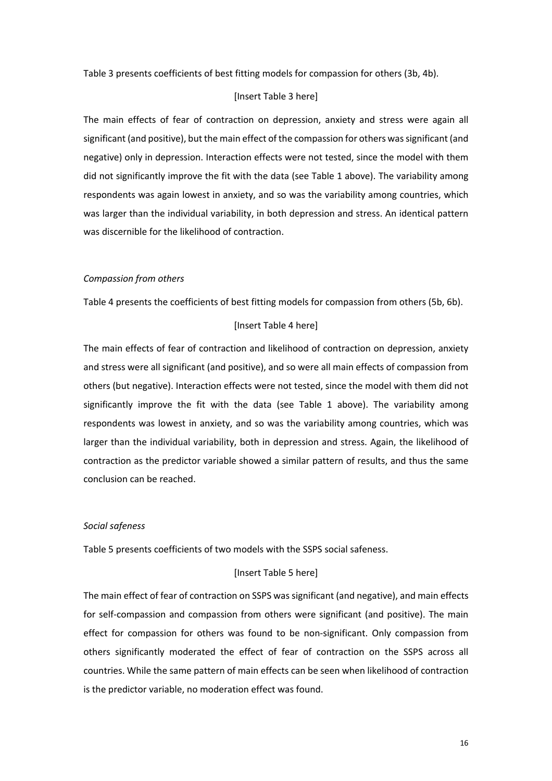Table 3 presents coefficients of best fitting models for compassion for others (3b, 4b).

#### [Insert Table 3 here]

The main effects of fear of contraction on depression, anxiety and stress were again all significant (and positive), but the main effect of the compassion for others was significant (and negative) only in depression. Interaction effects were not tested, since the model with them did not significantly improve the fit with the data (see Table 1 above). The variability among respondents was again lowest in anxiety, and so was the variability among countries, which was larger than the individual variability, in both depression and stress. An identical pattern was discernible for the likelihood of contraction.

#### *Compassion from others*

Table 4 presents the coefficients of best fitting models for compassion from others (5b, 6b).

#### [Insert Table 4 here]

The main effects of fear of contraction and likelihood of contraction on depression, anxiety and stress were all significant (and positive), and so were all main effects of compassion from others (but negative). Interaction effects were not tested, since the model with them did not significantly improve the fit with the data (see Table 1 above). The variability among respondents was lowest in anxiety, and so was the variability among countries, which was larger than the individual variability, both in depression and stress. Again, the likelihood of contraction as the predictor variable showed a similar pattern of results, and thus the same conclusion can be reached.

#### *Social safeness*

Table 5 presents coefficients of two models with the SSPS social safeness.

#### [Insert Table 5 here]

The main effect of fear of contraction on SSPS was significant (and negative), and main effects for self-compassion and compassion from others were significant (and positive). The main effect for compassion for others was found to be non-significant. Only compassion from others significantly moderated the effect of fear of contraction on the SSPS across all countries. While the same pattern of main effects can be seen when likelihood of contraction is the predictor variable, no moderation effect was found.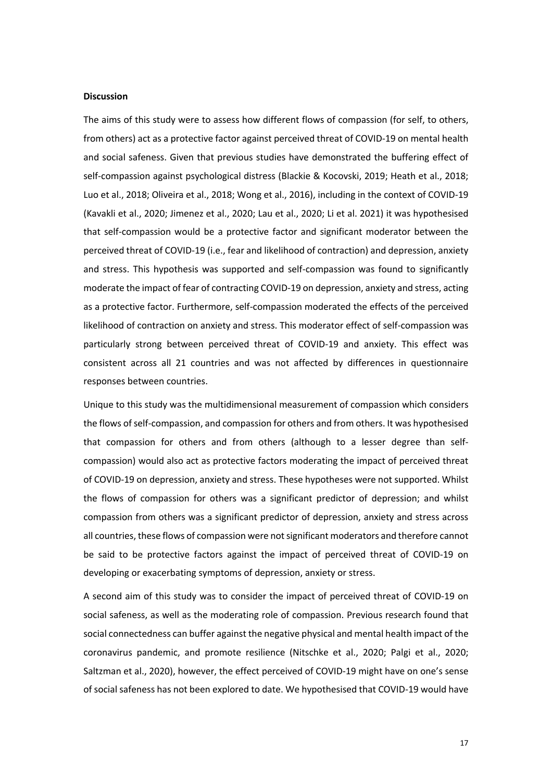#### **Discussion**

The aims of this study were to assess how different flows of compassion (for self, to others, from others) act as a protective factor against perceived threat of COVID-19 on mental health and social safeness. Given that previous studies have demonstrated the buffering effect of self-compassion against psychological distress (Blackie & Kocovski, 2019; Heath et al., 2018; Luo et al., 2018; Oliveira et al., 2018; Wong et al., 2016), including in the context of COVID-19 (Kavakli et al., 2020; Jimenez et al., 2020; Lau et al., 2020; Li et al. 2021) it was hypothesised that self-compassion would be a protective factor and significant moderator between the perceived threat of COVID-19 (i.e., fear and likelihood of contraction) and depression, anxiety and stress. This hypothesis was supported and self-compassion was found to significantly moderate the impact of fear of contracting COVID-19 on depression, anxiety and stress, acting as a protective factor. Furthermore, self-compassion moderated the effects of the perceived likelihood of contraction on anxiety and stress. This moderator effect of self-compassion was particularly strong between perceived threat of COVID-19 and anxiety. This effect was consistent across all 21 countries and was not affected by differences in questionnaire responses between countries.

Unique to this study was the multidimensional measurement of compassion which considers the flows of self-compassion, and compassion for others and from others. It was hypothesised that compassion for others and from others (although to a lesser degree than selfcompassion) would also act as protective factors moderating the impact of perceived threat of COVID-19 on depression, anxiety and stress. These hypotheses were not supported. Whilst the flows of compassion for others was a significant predictor of depression; and whilst compassion from others was a significant predictor of depression, anxiety and stress across all countries, these flows of compassion were not significant moderators and therefore cannot be said to be protective factors against the impact of perceived threat of COVID-19 on developing or exacerbating symptoms of depression, anxiety or stress.

A second aim of this study was to consider the impact of perceived threat of COVID-19 on social safeness, as well as the moderating role of compassion. Previous research found that social connectedness can buffer against the negative physical and mental health impact of the coronavirus pandemic, and promote resilience (Nitschke et al., 2020; Palgi et al., 2020; Saltzman et al., 2020), however, the effect perceived of COVID-19 might have on one's sense of social safeness has not been explored to date. We hypothesised that COVID-19 would have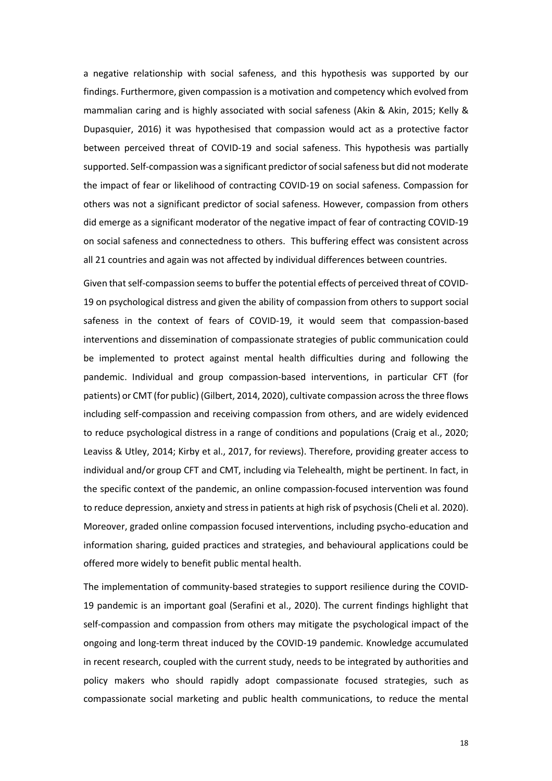a negative relationship with social safeness, and this hypothesis was supported by our findings. Furthermore, given compassion is a motivation and competency which evolved from mammalian caring and is highly associated with social safeness (Akin & Akin, 2015; Kelly & Dupasquier, 2016) it was hypothesised that compassion would act as a protective factor between perceived threat of COVID-19 and social safeness. This hypothesis was partially supported. Self-compassion was a significant predictor of social safeness but did not moderate the impact of fear or likelihood of contracting COVID-19 on social safeness. Compassion for others was not a significant predictor of social safeness. However, compassion from others did emerge as a significant moderator of the negative impact of fear of contracting COVID-19 on social safeness and connectedness to others. This buffering effect was consistent across all 21 countries and again was not affected by individual differences between countries.

Given that self-compassion seems to buffer the potential effects of perceived threat of COVID-19 on psychological distress and given the ability of compassion from others to support social safeness in the context of fears of COVID-19, it would seem that compassion-based interventions and dissemination of compassionate strategies of public communication could be implemented to protect against mental health difficulties during and following the pandemic. Individual and group compassion-based interventions, in particular CFT (for patients) or CMT (for public) (Gilbert, 2014, 2020), cultivate compassion acrossthe three flows including self-compassion and receiving compassion from others, and are widely evidenced to reduce psychological distress in a range of conditions and populations (Craig et al., 2020; Leaviss & Utley, 2014; Kirby et al., 2017, for reviews). Therefore, providing greater access to individual and/or group CFT and CMT, including via Telehealth, might be pertinent. In fact, in the specific context of the pandemic, an online compassion-focused intervention was found to reduce depression, anxiety and stressin patients at high risk of psychosis(Cheli et al. 2020). Moreover, graded online compassion focused interventions, including psycho-education and information sharing, guided practices and strategies, and behavioural applications could be offered more widely to benefit public mental health.

The implementation of community-based strategies to support resilience during the COVID-19 pandemic is an important goal (Serafini et al., 2020). The current findings highlight that self-compassion and compassion from others may mitigate the psychological impact of the ongoing and long-term threat induced by the COVID-19 pandemic. Knowledge accumulated in recent research, coupled with the current study, needs to be integrated by authorities and policy makers who should rapidly adopt compassionate focused strategies, such as compassionate social marketing and public health communications, to reduce the mental

18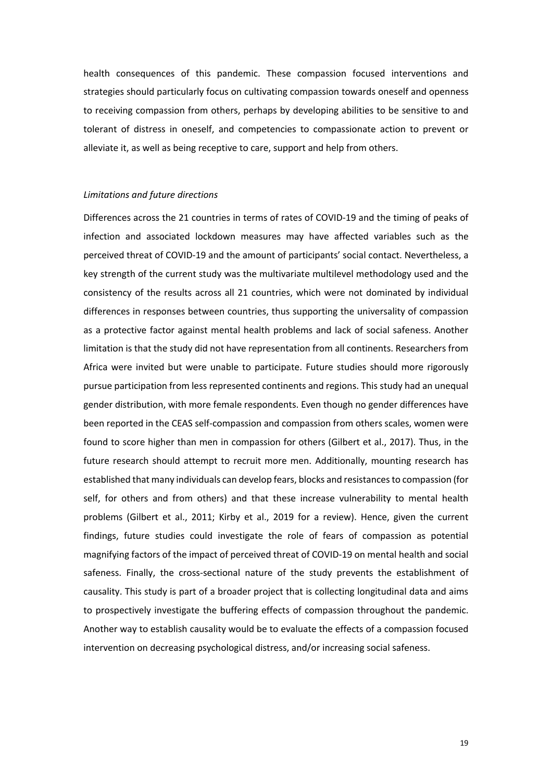health consequences of this pandemic. These compassion focused interventions and strategies should particularly focus on cultivating compassion towards oneself and openness to receiving compassion from others, perhaps by developing abilities to be sensitive to and tolerant of distress in oneself, and competencies to compassionate action to prevent or alleviate it, as well as being receptive to care, support and help from others.

#### *Limitations and future directions*

Differences across the 21 countries in terms of rates of COVID-19 and the timing of peaks of infection and associated lockdown measures may have affected variables such as the perceived threat of COVID-19 and the amount of participants' social contact. Nevertheless, a key strength of the current study was the multivariate multilevel methodology used and the consistency of the results across all 21 countries, which were not dominated by individual differences in responses between countries, thus supporting the universality of compassion as a protective factor against mental health problems and lack of social safeness. Another limitation is that the study did not have representation from all continents. Researchers from Africa were invited but were unable to participate. Future studies should more rigorously pursue participation from less represented continents and regions. This study had an unequal gender distribution, with more female respondents. Even though no gender differences have been reported in the CEAS self-compassion and compassion from others scales, women were found to score higher than men in compassion for others (Gilbert et al., 2017). Thus, in the future research should attempt to recruit more men. Additionally, mounting research has established that many individuals can develop fears, blocks and resistances to compassion (for self, for others and from others) and that these increase vulnerability to mental health problems (Gilbert et al., 2011; Kirby et al., 2019 for a review). Hence, given the current findings, future studies could investigate the role of fears of compassion as potential magnifying factors of the impact of perceived threat of COVID-19 on mental health and social safeness. Finally, the cross-sectional nature of the study prevents the establishment of causality. This study is part of a broader project that is collecting longitudinal data and aims to prospectively investigate the buffering effects of compassion throughout the pandemic. Another way to establish causality would be to evaluate the effects of a compassion focused intervention on decreasing psychological distress, and/or increasing social safeness.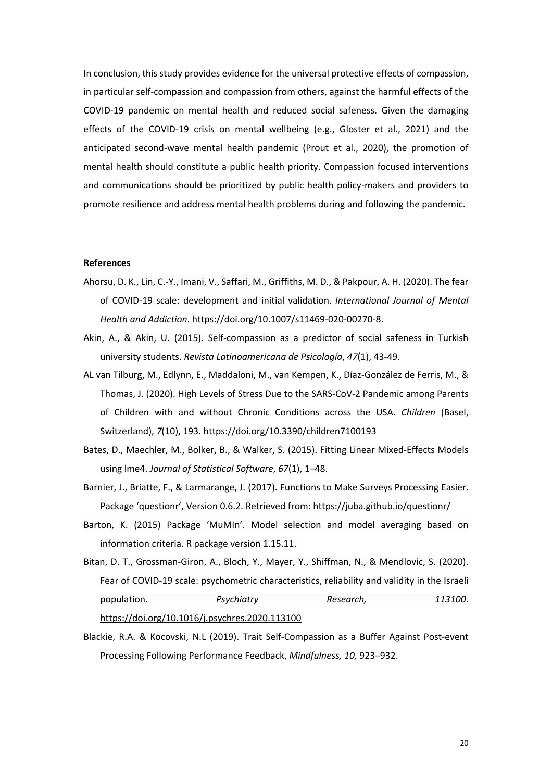In conclusion, this study provides evidence for the universal protective effects of compassion, in particular self-compassion and compassion from others, against the harmful effects of the COVID-19 pandemic on mental health and reduced social safeness. Given the damaging effects of the COVID-19 crisis on mental wellbeing (e.g., Gloster et al., 2021) and the anticipated second-wave mental health pandemic (Prout et al., 2020), the promotion of mental health should constitute a public health priority. Compassion focused interventions and communications should be prioritized by public health policy-makers and providers to promote resilience and address mental health problems during and following the pandemic.

#### **References**

- Ahorsu, D. K., Lin, C.-Y., Imani, V., Saffari, M., Griffiths, M. D., & Pakpour, A. H. (2020). The fear of COVID-19 scale: development and initial validation. *International Journal of Mental Health and Addiction*. https://doi.org/10.1007/s11469-020-00270-8.
- Akin, A., & Akin, U. (2015). Self-compassion as a predictor of social safeness in Turkish university students. *Revista Latinoamericana de Psicología*, *47*(1), 43-49.
- AL van Tilburg, M., Edlynn, E., Maddaloni, M., van Kempen, K., Díaz-González de Ferris, M., & Thomas, J. (2020). High Levels of Stress Due to the SARS-CoV-2 Pandemic among Parents of Children with and without Chronic Conditions across the USA. *Children* (Basel, Switzerland), *7*(10), 193. https://doi.org/10.3390/children7100193
- Bates, D., Maechler, M., Bolker, B., & Walker, S. (2015). Fitting Linear Mixed-Effects Models using lme4. *Journal of Statistical Software*, *67*(1), 1–48.
- Barnier, J., Briatte, F., & Larmarange, J. (2017). Functions to Make Surveys Processing Easier. Package 'questionr', Version 0.6.2. Retrieved from: https://juba.github.io/questionr/
- Barton, K. (2015) Package 'MuMIn'. Model selection and model averaging based on information criteria. R package version 1.15.11.
- Bitan, D. T., Grossman-Giron, A., Bloch, Y., Mayer, Y., Shiffman, N., & Mendlovic, S. (2020). Fear of COVID-19 scale: psychometric characteristics, reliability and validity in the Israeli population. *Psychiatry Research, 113100*. https://doi.org/10.1016/j.psychres.2020.113100
- Blackie, R.A. & Kocovski, N.L (2019). Trait Self-Compassion as a Buffer Against Post-event Processing Following Performance Feedback, *Mindfulness, 10,* 923–932.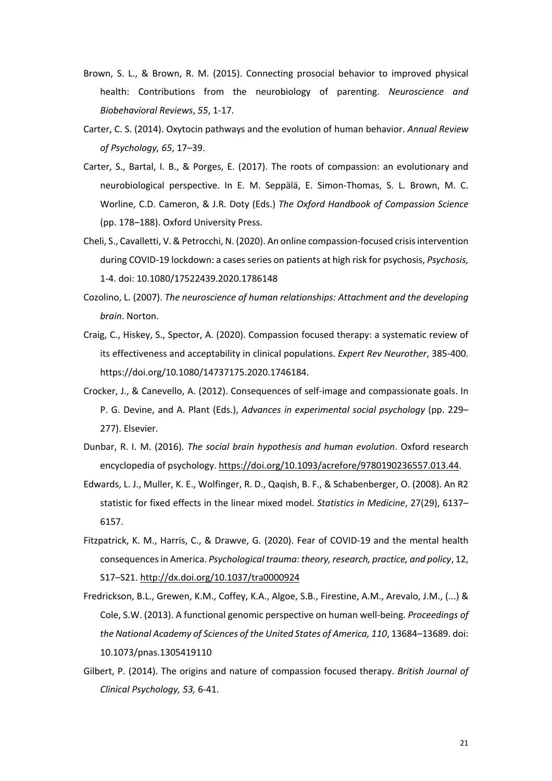- Brown, S. L., & Brown, R. M. (2015). Connecting prosocial behavior to improved physical health: Contributions from the neurobiology of parenting. *Neuroscience and Biobehavioral Reviews*, *55*, 1-17.
- Carter, C. S. (2014). Oxytocin pathways and the evolution of human behavior. *Annual Review of Psychology, 65*, 17–39.
- Carter, S., Bartal, I. B., & Porges, E. (2017). The roots of compassion: an evolutionary and neurobiological perspective. In E. M. Seppälä, E. Simon-Thomas, S. L. Brown, M. C. Worline, C.D. Cameron, & J.R. Doty (Eds.) *The Oxford Handbook of Compassion Science* (pp. 178–188). Oxford University Press.
- Cheli, S., Cavalletti, V. & Petrocchi, N. (2020). An online compassion-focused crisis intervention during COVID-19 lockdown: a cases series on patients at high risk for psychosis, *Psychosis,* 1-4. doi: 10.1080/17522439.2020.1786148
- Cozolino, L. (2007). *The neuroscience of human relationships: Attachment and the developing brain*. Norton.
- Craig, C., Hiskey, S., Spector, A. (2020). Compassion focused therapy: a systematic review of its effectiveness and acceptability in clinical populations. *Expert Rev Neurother*, 385-400. https://doi.org/10.1080/14737175.2020.1746184.
- Crocker, J., & Canevello, A. (2012). Consequences of self-image and compassionate goals. In P. G. Devine, and A. Plant (Eds.), *Advances in experimental social psychology* (pp. 229– 277). Elsevier.
- Dunbar, R. I. M. (2016). *The social brain hypothesis and human evolution*. Oxford research encyclopedia of psychology. https://doi.org/10.1093/acrefore/9780190236557.013.44.
- Edwards, L. J., Muller, K. E., Wolfinger, R. D., Qaqish, B. F., & Schabenberger, O. (2008). An R2 statistic for fixed effects in the linear mixed model. *Statistics in Medicine*, 27(29), 6137– 6157.
- Fitzpatrick, K. M., Harris, C., & Drawve, G. (2020). Fear of COVID-19 and the mental health consequences in America. *Psychological trauma: theory, research, practice, and policy*, 12, S17–S21. http://dx.doi.org/10.1037/tra0000924
- Fredrickson, B.L., Grewen, K.M., Coffey, K.A., Algoe, S.B., Firestine, A.M., Arevalo, J.M., (...) & Cole, S.W. (2013). A functional genomic perspective on human well-being. *Proceedings of the National Academy of Sciences of the United States of America, 110*, 13684–13689. doi: 10.1073/pnas.1305419110
- Gilbert, P. (2014). The origins and nature of compassion focused therapy. *British Journal of Clinical Psychology, 53,* 6-41.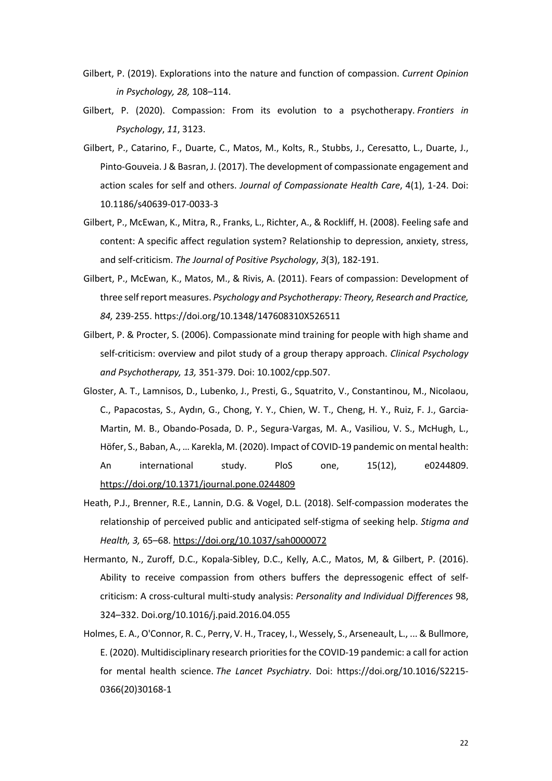- Gilbert, P. (2019). Explorations into the nature and function of compassion. *Current Opinion in Psychology, 28,* 108–114.
- Gilbert, P. (2020). Compassion: From its evolution to a psychotherapy. *Frontiers in Psychology*, *11*, 3123.
- Gilbert, P., Catarino, F., Duarte, C., Matos, M., Kolts, R., Stubbs, J., Ceresatto, L., Duarte, J., Pinto-Gouveia. J & Basran, J. (2017). The development of compassionate engagement and action scales for self and others. *Journal of Compassionate Health Care*, 4(1), 1-24. Doi: 10.1186/s40639-017-0033-3
- Gilbert, P., McEwan, K., Mitra, R., Franks, L., Richter, A., & Rockliff, H. (2008). Feeling safe and content: A specific affect regulation system? Relationship to depression, anxiety, stress, and self-criticism. *The Journal of Positive Psychology*, *3*(3), 182-191.
- Gilbert, P., McEwan, K., Matos, M., & Rivis, A. (2011). Fears of compassion: Development of three self report measures. *Psychology and Psychotherapy: Theory, Research and Practice, 84,* 239-255. https://doi.org/10.1348/147608310X526511
- Gilbert, P. & Procter, S. (2006). Compassionate mind training for people with high shame and self-criticism: overview and pilot study of a group therapy approach. *Clinical Psychology and Psychotherapy, 13,* 351-379. Doi: 10.1002/cpp.507.
- Gloster, A. T., Lamnisos, D., Lubenko, J., Presti, G., Squatrito, V., Constantinou, M., Nicolaou, C., Papacostas, S., Aydın, G., Chong, Y. Y., Chien, W. T., Cheng, H. Y., Ruiz, F. J., Garcia-Martin, M. B., Obando-Posada, D. P., Segura-Vargas, M. A., Vasiliou, V. S., McHugh, L., Höfer, S., Baban, A., … Karekla, M. (2020). Impact of COVID-19 pandemic on mental health: An international study. PloS one, 15(12), e0244809. https://doi.org/10.1371/journal.pone.0244809
- Heath, P.J., Brenner, R.E., Lannin, D.G. & Vogel, D.L. (2018). Self-compassion moderates the relationship of perceived public and anticipated self-stigma of seeking help. *Stigma and Health, 3,* 65–68. https://doi.org/10.1037/sah0000072
- Hermanto, N., Zuroff, D.C., Kopala-Sibley, D.C., Kelly, A.C., Matos, M, & Gilbert, P. (2016). Ability to receive compassion from others buffers the depressogenic effect of selfcriticism: A cross-cultural multi-study analysis: *Personality and Individual Differences* 98, 324–332. Doi.org/10.1016/j.paid.2016.04.055
- Holmes, E. A., O'Connor, R. C., Perry, V. H., Tracey, I., Wessely, S., Arseneault, L., ... & Bullmore, E. (2020). Multidisciplinary research priorities for the COVID-19 pandemic: a call for action for mental health science. *The Lancet Psychiatry*. Doi: https://doi.org/10.1016/S2215- 0366(20)30168-1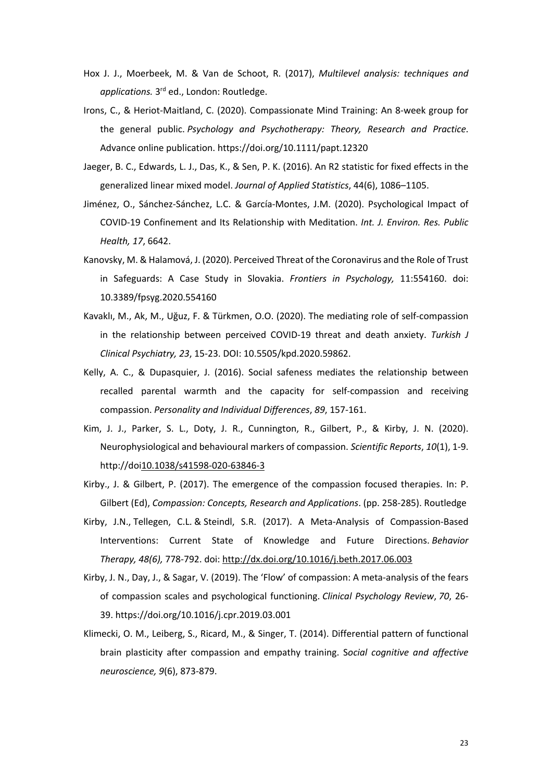- Hox J. J., Moerbeek, M. & Van de Schoot, R. (2017), *Multilevel analysis: techniques and applications.* 3rd ed., London: Routledge.
- Irons, C., & Heriot-Maitland, C. (2020). Compassionate Mind Training: An 8-week group for the general public. *Psychology and Psychotherapy: Theory, Research and Practice*. Advance online publication. https://doi.org/10.1111/papt.12320
- Jaeger, B. C., Edwards, L. J., Das, K., & Sen, P. K. (2016). An R2 statistic for fixed effects in the generalized linear mixed model. *Journal of Applied Statistics*, 44(6), 1086–1105.
- Jiménez, O., Sánchez-Sánchez, L.C. & García-Montes, J.M. (2020). Psychological Impact of COVID-19 Confinement and Its Relationship with Meditation. *Int. J. Environ. Res. Public Health, 17*, 6642.
- Kanovsky, M. & Halamová, J. (2020). Perceived Threat of the Coronavirus and the Role of Trust in Safeguards: A Case Study in Slovakia. *Frontiers in Psychology,* 11:554160. doi: 10.3389/fpsyg.2020.554160
- Kavaklı, M., Ak, M., Uğuz, F. & Türkmen, O.O. (2020). The mediating role of self-compassion in the relationship between perceived COVID-19 threat and death anxiety. *Turkish J Clinical Psychiatry, 23*, 15-23. DOI: 10.5505/kpd.2020.59862.
- Kelly, A. C., & Dupasquier, J. (2016). Social safeness mediates the relationship between recalled parental warmth and the capacity for self-compassion and receiving compassion. *Personality and Individual Differences*, *89*, 157-161.
- Kim, J. J., Parker, S. L., Doty, J. R., Cunnington, R., Gilbert, P., & Kirby, J. N. (2020). Neurophysiological and behavioural markers of compassion. *Scientific Reports*, *10*(1), 1-9. http://doi10.1038/s41598-020-63846-3
- Kirby., J. & Gilbert, P. (2017). The emergence of the compassion focused therapies. In: P. Gilbert (Ed), *Compassion: Concepts, Research and Applications*. (pp. 258-285). Routledge
- Kirby, J.N., Tellegen, C.L. & Steindl, S.R. (2017). A Meta-Analysis of Compassion-Based Interventions: Current State of Knowledge and Future Directions. *Behavior Therapy, 48(6),* 778-792. doi: http://dx.doi.org/10.1016/j.beth.2017.06.003
- Kirby, J. N., Day, J., & Sagar, V. (2019). The 'Flow' of compassion: A meta-analysis of the fears of compassion scales and psychological functioning. *Clinical Psychology Review*, *70*, 26- 39. https://doi.org/10.1016/j.cpr.2019.03.001
- Klimecki, O. M., Leiberg, S., Ricard, M., & Singer, T. (2014). Differential pattern of functional brain plasticity after compassion and empathy training. S*ocial cognitive and affective neuroscience, 9*(6), 873-879.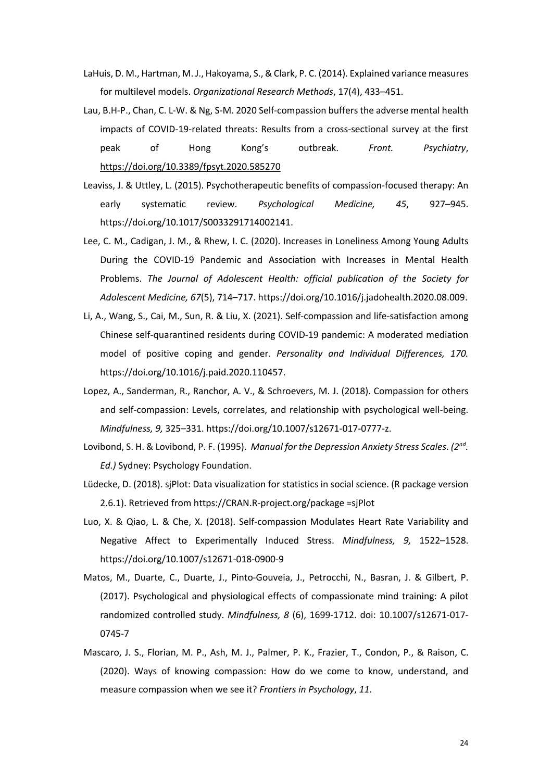- LaHuis, D. M., Hartman, M. J., Hakoyama, S., & Clark, P. C. (2014). Explained variance measures for multilevel models. *Organizational Research Methods*, 17(4), 433–451.
- Lau, B.H-P., Chan, C. L-W. & Ng, S-M. 2020 Self-compassion buffers the adverse mental health impacts of COVID-19-related threats: Results from a cross-sectional survey at the first peak of Hong Kong's outbreak. *Front. Psychiatry*, https://doi.org/10.3389/fpsyt.2020.585270
- Leaviss, J. & Uttley, L. (2015). Psychotherapeutic benefits of compassion-focused therapy: An early systematic review. *Psychological Medicine, 45*, 927–945. https://doi.org/10.1017/S0033291714002141.
- Lee, C. M., Cadigan, J. M., & Rhew, I. C. (2020). Increases in Loneliness Among Young Adults During the COVID-19 Pandemic and Association with Increases in Mental Health Problems. *The Journal of Adolescent Health: official publication of the Society for Adolescent Medicine, 67*(5), 714–717. https://doi.org/10.1016/j.jadohealth.2020.08.009.
- Li, A., Wang, S., Cai, M., Sun, R. & Liu, X. (2021). Self-compassion and life-satisfaction among Chinese self-quarantined residents during COVID-19 pandemic: A moderated mediation model of positive coping and gender. *Personality and Individual Differences, 170.* https://doi.org/10.1016/j.paid.2020.110457.
- Lopez, A., Sanderman, R., Ranchor, A. V., & Schroevers, M. J. (2018). Compassion for others and self-compassion: Levels, correlates, and relationship with psychological well-being. *Mindfulness, 9,* 325–331. https://doi.org/10.1007/s12671-017-0777-z.
- Lovibond, S. H. & Lovibond, P. F. (1995). *Manual for the Depression Anxiety Stress Scales*. *(2nd. Ed.)* Sydney: Psychology Foundation.
- Lüdecke, D. (2018). sjPlot: Data visualization for statistics in social science. (R package version 2.6.1). Retrieved from https://CRAN.R-project.org/package =sjPlot
- Luo, X. & Qiao, L. & Che, X. (2018). Self-compassion Modulates Heart Rate Variability and Negative Affect to Experimentally Induced Stress. *Mindfulness, 9,* 1522–1528. https://doi.org/10.1007/s12671-018-0900-9
- Matos, M., Duarte, C., Duarte, J., Pinto-Gouveia, J., Petrocchi, N., Basran, J. & Gilbert, P. (2017). Psychological and physiological effects of compassionate mind training: A pilot randomized controlled study. *Mindfulness, 8* (6), 1699-1712. doi: 10.1007/s12671-017- 0745-7
- Mascaro, J. S., Florian, M. P., Ash, M. J., Palmer, P. K., Frazier, T., Condon, P., & Raison, C. (2020). Ways of knowing compassion: How do we come to know, understand, and measure compassion when we see it? *Frontiers in Psychology*, *11*.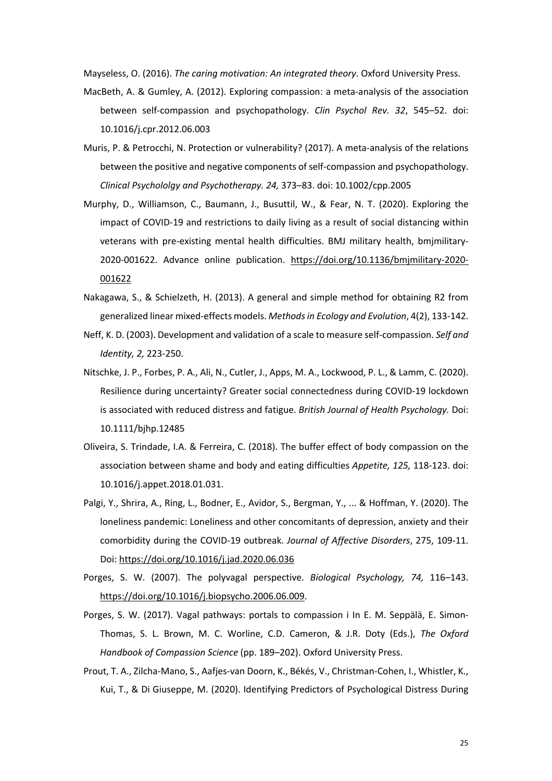Mayseless, O. (2016). *The caring motivation: An integrated theory*. Oxford University Press.

- MacBeth, A. & Gumley, A. (2012). Exploring compassion: a meta-analysis of the association between self-compassion and psychopathology. *Clin Psychol Rev. 32*, 545–52. doi: 10.1016/j.cpr.2012.06.003
- Muris, P. & Petrocchi, N. Protection or vulnerability? (2017). A meta-analysis of the relations between the positive and negative components of self-compassion and psychopathology. *Clinical Psychololgy and Psychotherapy. 24,* 373–83. doi: 10.1002/cpp.2005
- Murphy, D., Williamson, C., Baumann, J., Busuttil, W., & Fear, N. T. (2020). Exploring the impact of COVID-19 and restrictions to daily living as a result of social distancing within veterans with pre-existing mental health difficulties. BMJ military health, bmjmilitary-2020-001622. Advance online publication. https://doi.org/10.1136/bmjmilitary-2020- 001622
- Nakagawa, S., & Schielzeth, H. (2013). A general and simple method for obtaining R2 from generalized linear mixed-effects models. *Methods in Ecology and Evolution*, 4(2), 133-142.
- Neff, K. D. (2003). Development and validation of a scale to measure self-compassion. *Self and Identity, 2,* 223-250.
- Nitschke, J. P., Forbes, P. A., Ali, N., Cutler, J., Apps, M. A., Lockwood, P. L., & Lamm, C. (2020). Resilience during uncertainty? Greater social connectedness during COVID-19 lockdown is associated with reduced distress and fatigue. *British Journal of Health Psychology.* Doi: 10.1111/bjhp.12485
- Oliveira, S. Trindade, I.A. & Ferreira, C. (2018). The buffer effect of body compassion on the association between shame and body and eating difficulties *Appetite, 125,* 118-123. doi: 10.1016/j.appet.2018.01.031.
- Palgi, Y., Shrira, A., Ring, L., Bodner, E., Avidor, S., Bergman, Y., ... & Hoffman, Y. (2020). The loneliness pandemic: Loneliness and other concomitants of depression, anxiety and their comorbidity during the COVID-19 outbreak. *Journal of Affective Disorders*, 275, 109-11. Doi: https://doi.org/10.1016/j.jad.2020.06.036
- Porges, S. W. (2007). The polyvagal perspective. *Biological Psychology, 74,* 116–143. https://doi.org/10.1016/j.biopsycho.2006.06.009.
- Porges, S. W. (2017). Vagal pathways: portals to compassion i In E. M. Seppälä, E. Simon-Thomas, S. L. Brown, M. C. Worline, C.D. Cameron, & J.R. Doty (Eds.), *The Oxford Handbook of Compassion Science* (pp. 189–202). Oxford University Press.
- Prout, T. A., Zilcha-Mano, S., Aafjes-van Doorn, K., Békés, V., Christman-Cohen, I., Whistler, K., Kui, T., & Di Giuseppe, M. (2020). Identifying Predictors of Psychological Distress During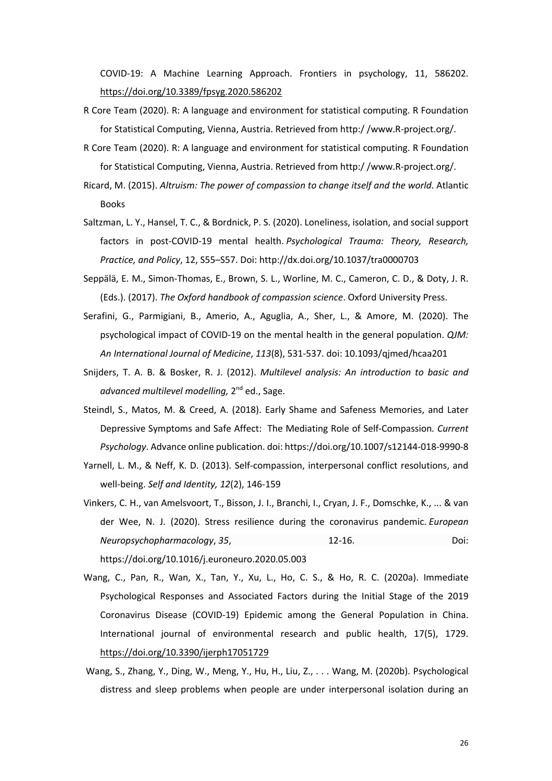COVID-19: A Machine Learning Approach. Frontiers in psychology, 11, 586202. https://doi.org/10.3389/fpsyg.2020.586202

- R Core Team (2020). R: A language and environment for statistical computing. R Foundation for Statistical Computing, Vienna, Austria. Retrieved from http:/ /www.R-project.org/.
- R Core Team (2020). R: A language and environment for statistical computing. R Foundation for Statistical Computing, Vienna, Austria. Retrieved from http:/ /www.R-project.org/.
- Ricard, M. (2015). *Altruism: The power of compassion to change itself and the world*. Atlantic Books
- Saltzman, L. Y., Hansel, T. C., & Bordnick, P. S. (2020). Loneliness, isolation, and social support factors in post-COVID-19 mental health. *Psychological Trauma: Theory, Research, Practice, and Policy*, 12, S55–S57. Doi: http://dx.doi.org/10.1037/tra0000703
- Seppälä, E. M., Simon-Thomas, E., Brown, S. L., Worline, M. C., Cameron, C. D., & Doty, J. R. (Eds.). (2017). *The Oxford handbook of compassion science*. Oxford University Press.
- Serafini, G., Parmigiani, B., Amerio, A., Aguglia, A., Sher, L., & Amore, M. (2020). The psychological impact of COVID-19 on the mental health in the general population. *QJM: An International Journal of Medicine*, *113*(8), 531-537. doi: 10.1093/qjmed/hcaa201
- Snijders, T. A. B. & Bosker, R. J. (2012). *Multilevel analysis: An introduction to basic and advanced multilevel modelling,* 2nd ed., Sage.
- Steindl, S., Matos, M. & Creed, A. (2018). Early Shame and Safeness Memories, and Later Depressive Symptoms and Safe Affect: The Mediating Role of Self-Compassion*. Current Psychology*. Advance online publication. doi: https://doi.org/10.1007/s12144-018-9990-8
- Yarnell, L. M., & Neff, K. D. (2013). Self-compassion, interpersonal conflict resolutions, and well-being. *Self and Identity, 12*(2), 146-159
- Vinkers, C. H., van Amelsvoort, T., Bisson, J. I., Branchi, I., Cryan, J. F., Domschke, K., ... & van der Wee, N. J. (2020). Stress resilience during the coronavirus pandemic. *European Neuropsychopharmacology*, *35*, 12-16. Doi: https://doi.org/10.1016/j.euroneuro.2020.05.003

Wang, C., Pan, R., Wan, X., Tan, Y., Xu, L., Ho, C. S., & Ho, R. C. (2020a). Immediate Psychological Responses and Associated Factors during the Initial Stage of the 2019 Coronavirus Disease (COVID-19) Epidemic among the General Population in China. International journal of environmental research and public health, 17(5), 1729. https://doi.org/10.3390/ijerph17051729

Wang, S., Zhang, Y., Ding, W., Meng, Y., Hu, H., Liu, Z., . . . Wang, M. (2020b). Psychological distress and sleep problems when people are under interpersonal isolation during an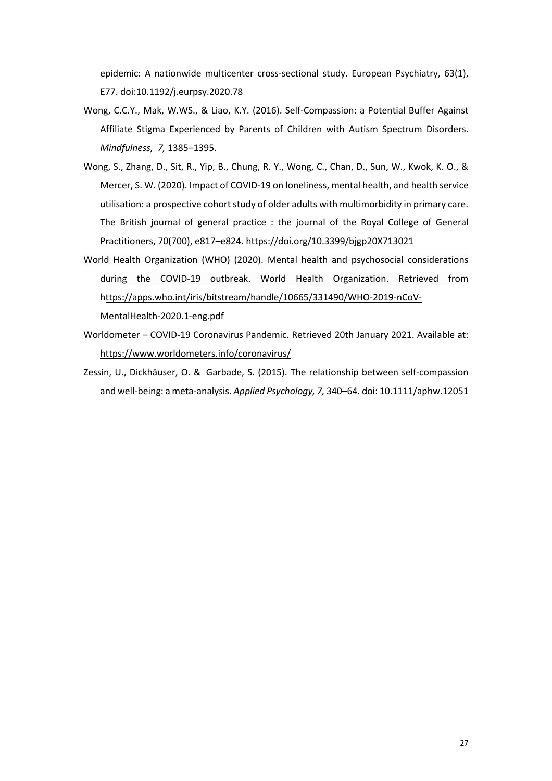epidemic: A nationwide multicenter cross-sectional study. European Psychiatry, 63(1), E77. doi:10.1192/j.eurpsy.2020.78

- Wong, C.C.Y., Mak, W.WS., & Liao, K.Y. (2016). Self-Compassion: a Potential Buffer Against Affiliate Stigma Experienced by Parents of Children with Autism Spectrum Disorders. *Mindfulness, 7,* 1385–1395.
- Wong, S., Zhang, D., Sit, R., Yip, B., Chung, R. Y., Wong, C., Chan, D., Sun, W., Kwok, K. O., & Mercer, S. W. (2020). Impact of COVID-19 on loneliness, mental health, and health service utilisation: a prospective cohort study of older adults with multimorbidity in primary care. The British journal of general practice : the journal of the Royal College of General Practitioners, 70(700), e817–e824. https://doi.org/10.3399/bjgp20X713021
- World Health Organization (WHO) (2020). Mental health and psychosocial considerations during the COVID-19 outbreak. World Health Organization. Retrieved from https://apps.who.int/iris/bitstream/handle/10665/331490/WHO-2019-nCoV-

MentalHealth-2020.1-eng.pdf

- Worldometer COVID-19 Coronavirus Pandemic. Retrieved 20th January 2021. Available at: https://www.worldometers.info/coronavirus/
- Zessin, U., Dickhäuser, O. & Garbade, S. (2015). The relationship between self-compassion and well-being: a meta-analysis. *Applied Psychology, 7,* 340–64. doi: 10.1111/aphw.12051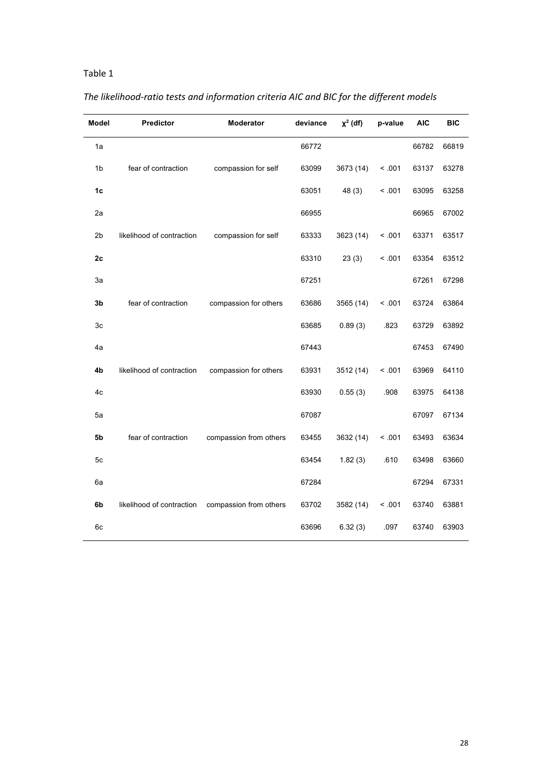| Model          | Predictor                 | <b>Moderator</b>                                 | deviance | $\chi^2$ (df) | p-value | <b>AIC</b> | BIC   |
|----------------|---------------------------|--------------------------------------------------|----------|---------------|---------|------------|-------|
| 1a             |                           |                                                  | 66772    |               |         | 66782      | 66819 |
| 1 <sub>b</sub> | fear of contraction       | compassion for self                              | 63099    | 3673 (14)     | < .001  | 63137      | 63278 |
| 1c             |                           |                                                  | 63051    | 48(3)         | < .001  | 63095      | 63258 |
| 2a             |                           |                                                  | 66955    |               |         | 66965      | 67002 |
| 2b             | likelihood of contraction | compassion for self                              | 63333    | 3623 (14)     | < .001  | 63371      | 63517 |
| 2c             |                           |                                                  | 63310    | 23(3)         | < .001  | 63354      | 63512 |
| За             |                           |                                                  | 67251    |               |         | 67261      | 67298 |
| 3b             | fear of contraction       | compassion for others                            | 63686    | 3565 (14)     | < 0.01  | 63724      | 63864 |
| 3c             |                           |                                                  | 63685    | 0.89(3)       | .823    | 63729      | 63892 |
| 4a             |                           |                                                  | 67443    |               |         | 67453      | 67490 |
| 4b             | likelihood of contraction | compassion for others                            | 63931    | 3512 (14)     | < 0.01  | 63969      | 64110 |
| 4c             |                           |                                                  | 63930    | 0.55(3)       | .908    | 63975      | 64138 |
| 5a             |                           |                                                  | 67087    |               |         | 67097      | 67134 |
| 5b             | fear of contraction       | compassion from others                           | 63455    | 3632 (14)     | < 0.01  | 63493      | 63634 |
| 5c             |                           |                                                  | 63454    | 1.82(3)       | .610    | 63498      | 63660 |
| 6a             |                           |                                                  | 67284    |               |         | 67294      | 67331 |
| 6b             |                           | likelihood of contraction compassion from others | 63702    | 3582 (14)     | < .001  | 63740      | 63881 |
| 6c             |                           |                                                  | 63696    | 6.32(3)       | .097    | 63740      | 63903 |

### *The likelihood-ratio tests and information criteria AIC and BIC for the different models*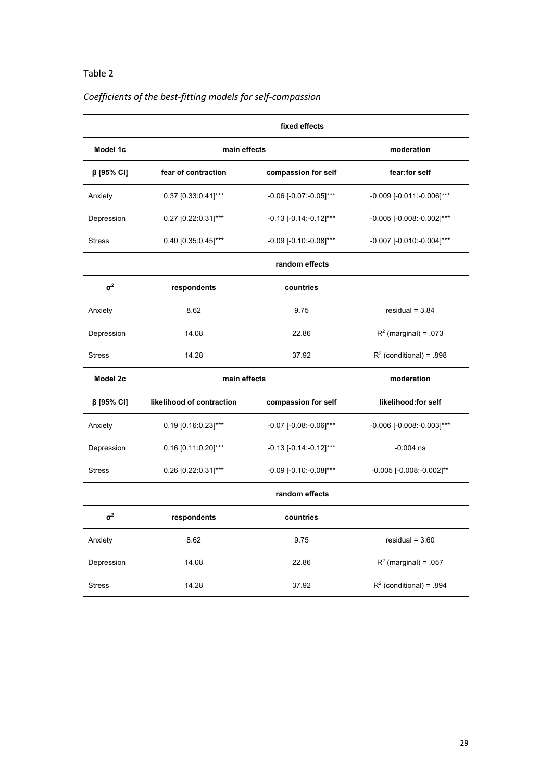|               | fixed effects             |                                  |                            |  |  |
|---------------|---------------------------|----------------------------------|----------------------------|--|--|
| Model 1c      | main effects              | moderation                       |                            |  |  |
| β [95% CI]    | fear of contraction       | compassion for self              | fear:for self              |  |  |
| Anxiety       | 0.37 [0.33:0.41]***       | -0.06 [-0.07:-0.05]***           | -0.009 [-0.011:-0.006]***  |  |  |
| Depression    | 0.27 [0.22:0.31]***       | -0.13 [-0.14:-0.12]***           | -0.005 [-0.008:-0.002]***  |  |  |
| <b>Stress</b> | 0.40 [0.35:0.45]***       | -0.09 [-0.10:-0.08]***           | -0.007 [-0.010:-0.004]***  |  |  |
|               |                           | random effects                   |                            |  |  |
| $\sigma^2$    | respondents               | countries                        |                            |  |  |
| Anxiety       | 8.62                      | 9.75                             | $residual = 3.84$          |  |  |
| Depression    | 14.08                     | 22.86                            | $R^2$ (marginal) = .073    |  |  |
| <b>Stress</b> | 14.28                     | 37.92                            | $R^2$ (conditional) = .898 |  |  |
| Model 2c      | main effects              |                                  | moderation                 |  |  |
| β [95% CI]    | likelihood of contraction | compassion for self              | likelihood:for self        |  |  |
| Anxiety       | 0.19 [0.16:0.23]***       | -0.07 [-0.08:-0.06]***           | -0.006 [-0.008:-0.003]***  |  |  |
| Depression    | 0.16 [0.11:0.20]***       | $-0.13$ [ $-0.14$ : $-0.12$ ]*** | $-0.004$ ns                |  |  |
| <b>Stress</b> | 0.26 [0.22:0.31]***       | -0.09 [-0.10:-0.08]***           | -0.005 [-0.008:-0.002]**   |  |  |
|               |                           | random effects                   |                            |  |  |
| $\sigma^2$    | respondents               | countries                        |                            |  |  |
| Anxiety       | 8.62                      | 9.75                             | residual = $3.60$          |  |  |
| Depression    | 14.08                     | 22.86                            | $R^2$ (marginal) = .057    |  |  |
| <b>Stress</b> | 14.28                     | 37.92                            | $R^2$ (conditional) = .894 |  |  |

### *Coefficients of the best-fitting models for self-compassion*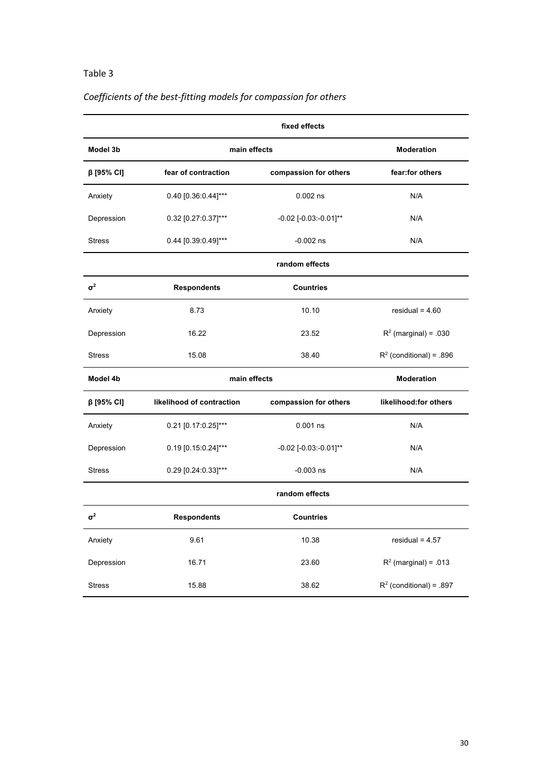|               | fixed effects             |                                 |                            |  |  |  |
|---------------|---------------------------|---------------------------------|----------------------------|--|--|--|
| Model 3b      | main effects              |                                 | <b>Moderation</b>          |  |  |  |
| β [95% CI]    | fear of contraction       | compassion for others           | fear:for others            |  |  |  |
| Anxiety       | 0.40 [0.36:0.44]***       | $0.002$ ns                      | N/A                        |  |  |  |
| Depression    | 0.32 [0.27:0.37]***       | $-0.02$ [ $-0.03$ : $-0.01$ ]** | N/A                        |  |  |  |
| <b>Stress</b> | 0.44 [0.39:0.49]***       | $-0.002$ ns                     | N/A                        |  |  |  |
|               |                           | random effects                  |                            |  |  |  |
| $\sigma^2$    | <b>Respondents</b>        | <b>Countries</b>                |                            |  |  |  |
| Anxiety       | 8.73                      | 10.10                           | residual = $4.60$          |  |  |  |
| Depression    | 16.22                     | 23.52                           | $R^2$ (marginal) = .030    |  |  |  |
| <b>Stress</b> | 15.08                     | 38.40                           | $R^2$ (conditional) = .896 |  |  |  |
| Model 4b      | main effects              |                                 | <b>Moderation</b>          |  |  |  |
| β [95% CI]    | likelihood of contraction | compassion for others           | likelihood:for others      |  |  |  |
| Anxiety       | 0.21 [0.17:0.25]***       | $0.001$ ns                      | N/A                        |  |  |  |
| Depression    | 0.19 [0.15:0.24]***       | $-0.02$ [ $-0.03$ : $-0.01$ ]** | N/A                        |  |  |  |
| <b>Stress</b> | 0.29 [0.24:0.33]***       | $-0.003$ ns                     | N/A                        |  |  |  |
|               |                           | random effects                  |                            |  |  |  |
| $\sigma^2$    | <b>Respondents</b>        | <b>Countries</b>                |                            |  |  |  |
| Anxiety       | 9.61                      | 10.38                           | residual = $4.57$          |  |  |  |
| Depression    | 16.71                     | 23.60                           | $R^2$ (marginal) = .013    |  |  |  |
| <b>Stress</b> | 15.88                     | 38.62                           | $R^2$ (conditional) = .897 |  |  |  |

### *Coefficients of the best-fitting models for compassion for others*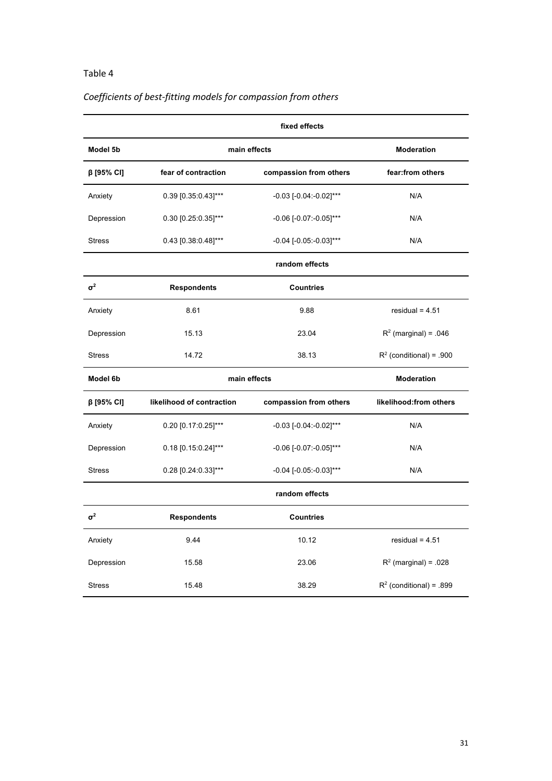|               | fixed effects             |                                  |                            |  |  |
|---------------|---------------------------|----------------------------------|----------------------------|--|--|
| Model 5b      | main effects              | <b>Moderation</b>                |                            |  |  |
| β [95% CI]    | fear of contraction       | compassion from others           | fear:from others           |  |  |
| Anxiety       | 0.39 [0.35:0.43]***       | $-0.03$ [-0.04:-0.02]***         | N/A                        |  |  |
| Depression    | 0.30 [0.25:0.35]***       | -0.06 [-0.07:-0.05]***           | N/A                        |  |  |
| <b>Stress</b> | 0.43 [0.38:0.48]***       | $-0.04$ [ $-0.05$ : $-0.03$ ]*** | N/A                        |  |  |
|               |                           | random effects                   |                            |  |  |
| $\sigma^2$    | <b>Respondents</b>        | <b>Countries</b>                 |                            |  |  |
| Anxiety       | 8.61                      | 9.88                             | residual = $4.51$          |  |  |
| Depression    | 15.13                     | 23.04                            | $R^2$ (marginal) = .046    |  |  |
| <b>Stress</b> | 14.72                     | 38.13                            | $R^2$ (conditional) = .900 |  |  |
| Model 6b      |                           | main effects                     | <b>Moderation</b>          |  |  |
| β [95% CI]    | likelihood of contraction | compassion from others           | likelihood:from others     |  |  |
| Anxiety       | 0.20 [0.17:0.25]***       | -0.03 [-0.04:-0.02]***           | N/A                        |  |  |
| Depression    | 0.18 [0.15:0.24]***       | -0.06 [-0.07:-0.05]***           | N/A                        |  |  |
| <b>Stress</b> | 0.28 [0.24:0.33]***       | -0.04 [-0.05:-0.03]***           | N/A                        |  |  |
|               |                           | random effects                   |                            |  |  |
| $\sigma^2$    | <b>Respondents</b>        | <b>Countries</b>                 |                            |  |  |
| Anxiety       | 9.44                      | 10.12                            | residual = $4.51$          |  |  |
| Depression    | 15.58                     | 23.06                            | $R^2$ (marginal) = .028    |  |  |
| <b>Stress</b> | 15.48                     | 38.29                            | $R^2$ (conditional) = .899 |  |  |

### *Coefficients of best-fitting models for compassion from others*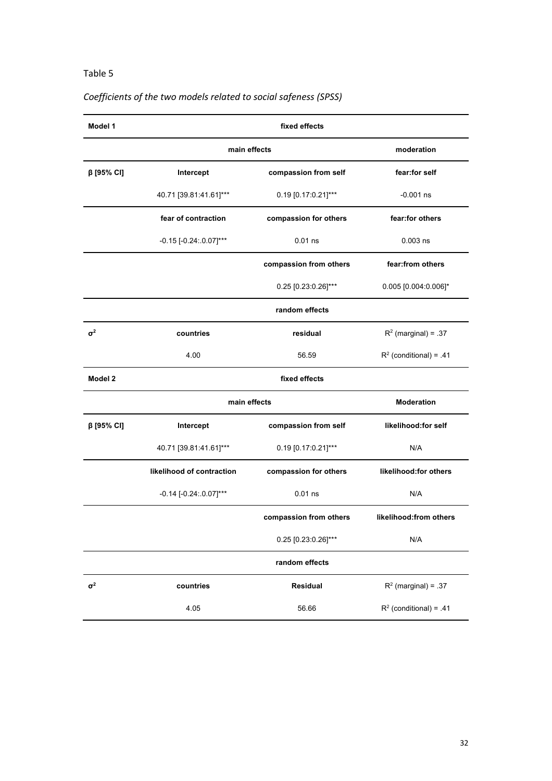| Model 1    | fixed effects                     |                        |                           |  |  |  |
|------------|-----------------------------------|------------------------|---------------------------|--|--|--|
|            | main effects                      | moderation             |                           |  |  |  |
| β [95% CI] | Intercept                         | compassion from self   | fear:for self             |  |  |  |
|            | 40.71 [39.81:41.61]***            | 0.19 [0.17:0.21]***    | $-0.001$ ns               |  |  |  |
|            | fear of contraction               | compassion for others  | fear:for others           |  |  |  |
|            | $-0.15$ [ $-0.24$ : 0.07]***      | $0.01$ ns              | $0.003$ ns                |  |  |  |
|            |                                   | compassion from others | fear:from others          |  |  |  |
|            |                                   | 0.25 [0.23:0.26]***    | 0.005 [0.004:0.006]*      |  |  |  |
|            |                                   | random effects         |                           |  |  |  |
| $\sigma^2$ | countries                         | residual               | $R^2$ (marginal) = .37    |  |  |  |
|            | 4.00                              | 56.59                  | $R^2$ (conditional) = .41 |  |  |  |
| Model 2    | fixed effects                     |                        |                           |  |  |  |
|            | main effects<br><b>Moderation</b> |                        |                           |  |  |  |
| β [95% CI] | Intercept                         | compassion from self   | likelihood:for self       |  |  |  |
|            | 40.71 [39.81:41.61]***            | 0.19 [0.17:0.21]***    | N/A                       |  |  |  |
|            | likelihood of contraction         | compassion for others  | likelihood:for others     |  |  |  |
|            | -0.14 [-0.24:.0.07]***            | $0.01$ ns              | N/A                       |  |  |  |
|            |                                   | compassion from others | likelihood:from others    |  |  |  |
|            |                                   | 0.25 [0.23:0.26]***    | N/A                       |  |  |  |
|            | random effects                    |                        |                           |  |  |  |
| $\sigma^2$ | countries                         | Residual               | $R^2$ (marginal) = .37    |  |  |  |
|            | 4.05                              | 56.66                  | $R^2$ (conditional) = .41 |  |  |  |

### *Coefficients of the two models related to social safeness (SPSS)*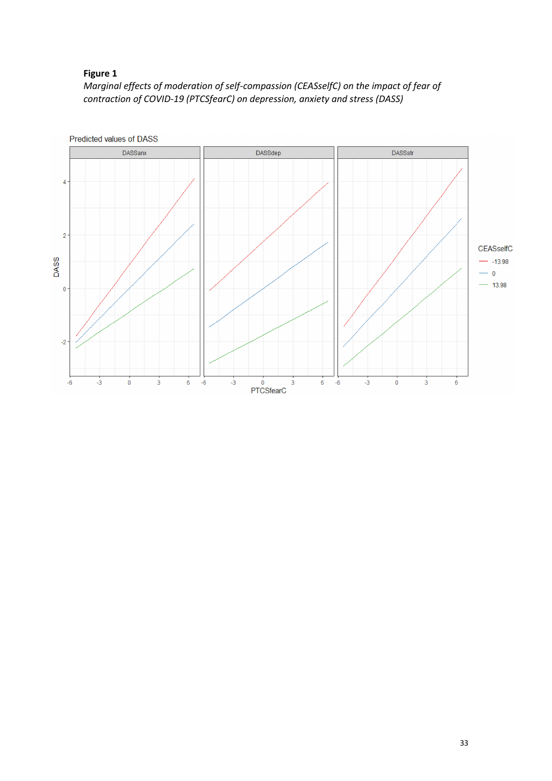### **Figure 1**

*Marginal effects of moderation of self-compassion (CEASselfC) on the impact of fear of contraction of COVID-19 (PTCSfearC) on depression, anxiety and stress (DASS)*

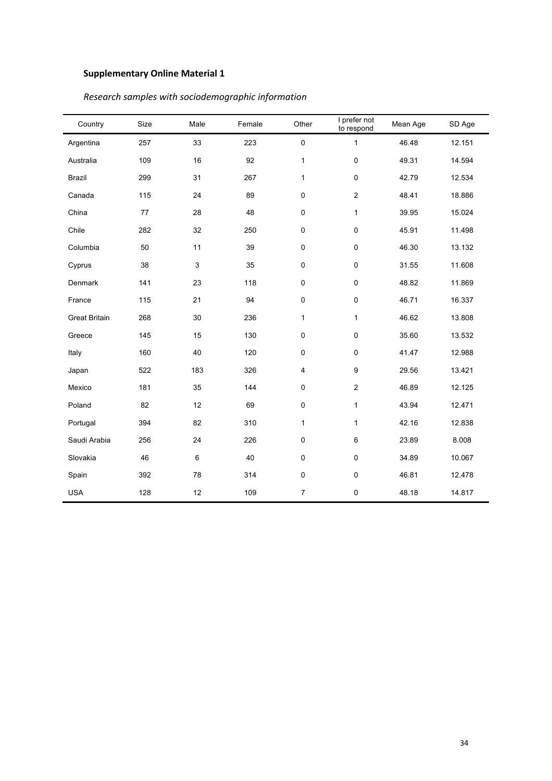### **Supplementary Online Material 1**

### *Research samples with sociodemographic information*

| Country              | Size | Male        | Female | Other          | I prefer not<br>to respond | Mean Age | SD Age |
|----------------------|------|-------------|--------|----------------|----------------------------|----------|--------|
| Argentina            | 257  | 33          | 223    | $\pmb{0}$      | $\mathbf{1}$               | 46.48    | 12.151 |
| Australia            | 109  | 16          | 92     | 1              | 0                          | 49.31    | 14.594 |
| <b>Brazil</b>        | 299  | 31          | 267    | 1              | 0                          | 42.79    | 12.534 |
| Canada               | 115  | 24          | 89     | $\mathbf 0$    | $\overline{2}$             | 48.41    | 18.886 |
| China                | 77   | 28          | 48     | $\mathbf 0$    | $\mathbf{1}$               | 39.95    | 15.024 |
| Chile                | 282  | 32          | 250    | $\pmb{0}$      | 0                          | 45.91    | 11.498 |
| Columbia             | 50   | 11          | 39     | $\mathbf 0$    | 0                          | 46.30    | 13.132 |
| Cyprus               | 38   | $\mathsf 3$ | 35     | $\pmb{0}$      | $\pmb{0}$                  | 31.55    | 11.608 |
| Denmark              | 141  | 23          | 118    | $\pmb{0}$      | $\mathbf 0$                | 48.82    | 11.869 |
| France               | 115  | 21          | 94     | $\mathbf 0$    | 0                          | 46.71    | 16.337 |
| <b>Great Britain</b> | 268  | 30          | 236    | 1              | $\mathbf{1}$               | 46.62    | 13.808 |
| Greece               | 145  | 15          | 130    | $\mathbf 0$    | 0                          | 35.60    | 13.532 |
| Italy                | 160  | 40          | 120    | $\pmb{0}$      | 0                          | 41.47    | 12.988 |
| Japan                | 522  | 183         | 326    | 4              | 9                          | 29.56    | 13.421 |
| Mexico               | 181  | 35          | 144    | $\mathbf 0$    | $\overline{2}$             | 46.89    | 12.125 |
| Poland               | 82   | 12          | 69     | $\mathbf 0$    | $\mathbf{1}$               | 43.94    | 12.471 |
| Portugal             | 394  | 82          | 310    | 1              | 1                          | 42.16    | 12.838 |
| Saudi Arabia         | 256  | 24          | 226    | $\mathbf 0$    | 6                          | 23.89    | 8.008  |
| Slovakia             | 46   | $\,6\,$     | 40     | $\pmb{0}$      | $\pmb{0}$                  | 34.89    | 10.067 |
| Spain                | 392  | 78          | 314    | $\pmb{0}$      | $\pmb{0}$                  | 46.81    | 12.478 |
| <b>USA</b>           | 128  | 12          | 109    | $\overline{7}$ | 0                          | 48.18    | 14.817 |